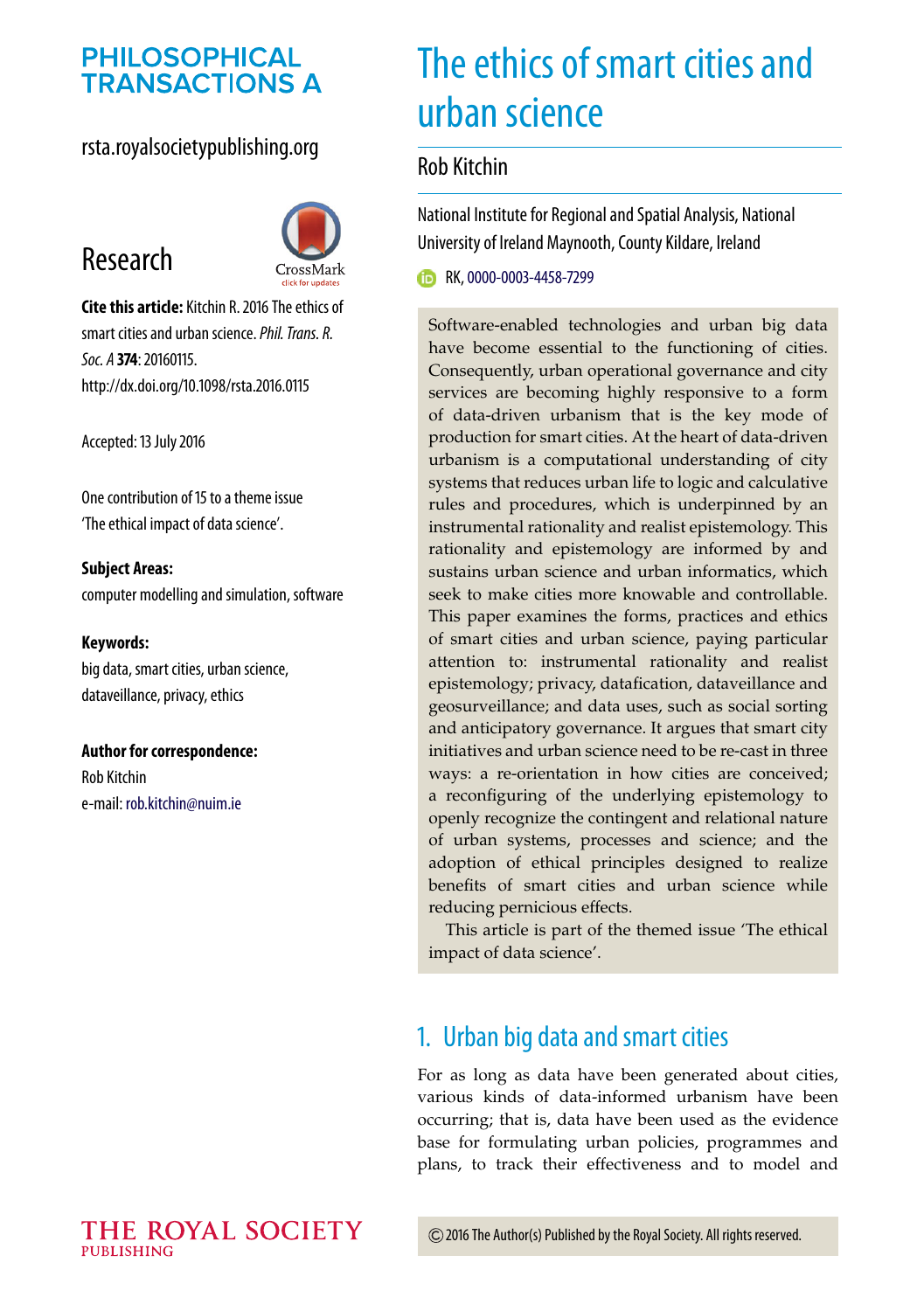# **PHILOSOPHICAL TRANSACTIONS A**

## rsta.royalsocietypublishing.org





**Cite this article:** Kitchin R. 2016 The ethics of smart cities and urban science.*Phil. Trans. R. Soc. A* **374**: 20160115. http://dx.doi.org/10.1098/rsta.2016.0115

Accepted: 13 July 2016

One contribution of 15 to a theme issue ['The ethical impact of data science'.](http://dx.doi.org/10.1098/rsta/374/2083)

**Subject Areas:** computer modelling and simulation, software

#### **Keywords:**

big data, smart cities, urban science, dataveillance, privacy, ethics

**Author for correspondence:** Rob Kitchin e-mail: [rob.kitchin@nuim.ie](mailto:rob.kitchin@nuim.ie)

# The ethics of smart cities and urban science

## Rob Kitchin

National Institute for Regional and Spatial Analysis, National University of Ireland Maynooth, County Kildare, Ireland

RK, [0000-0003-4458-7299](http://orcid.org/0000-0003-4458-7299)

Software-enabled technologies and urban big data have become essential to the functioning of cities. Consequently, urban operational governance and city services are becoming highly responsive to a form of data-driven urbanism that is the key mode of production for smart cities. At the heart of data-driven urbanism is a computational understanding of city systems that reduces urban life to logic and calculative rules and procedures, which is underpinned by an instrumental rationality and realist epistemology. This rationality and epistemology are informed by and sustains urban science and urban informatics, which seek to make cities more knowable and controllable. This paper examines the forms, practices and ethics of smart cities and urban science, paying particular attention to: instrumental rationality and realist epistemology; privacy, datafication, dataveillance and geosurveillance; and data uses, such as social sorting and anticipatory governance. It argues that smart city initiatives and urban science need to be re-cast in three ways: a re-orientation in how cities are conceived; a reconfiguring of the underlying epistemology to openly recognize the contingent and relational nature of urban systems, processes and science; and the adoption of ethical principles designed to realize benefits of smart cities and urban science while reducing pernicious effects.

This article is part of the themed issue 'The ethical impact of data science'.

# 1. Urban big data and smart cities

For as long as data have been generated about cities, various kinds of data-informed urbanism have been occurring; that is, data have been used as the evidence base for formulating urban policies, programmes and plans, to track their effectiveness and to model and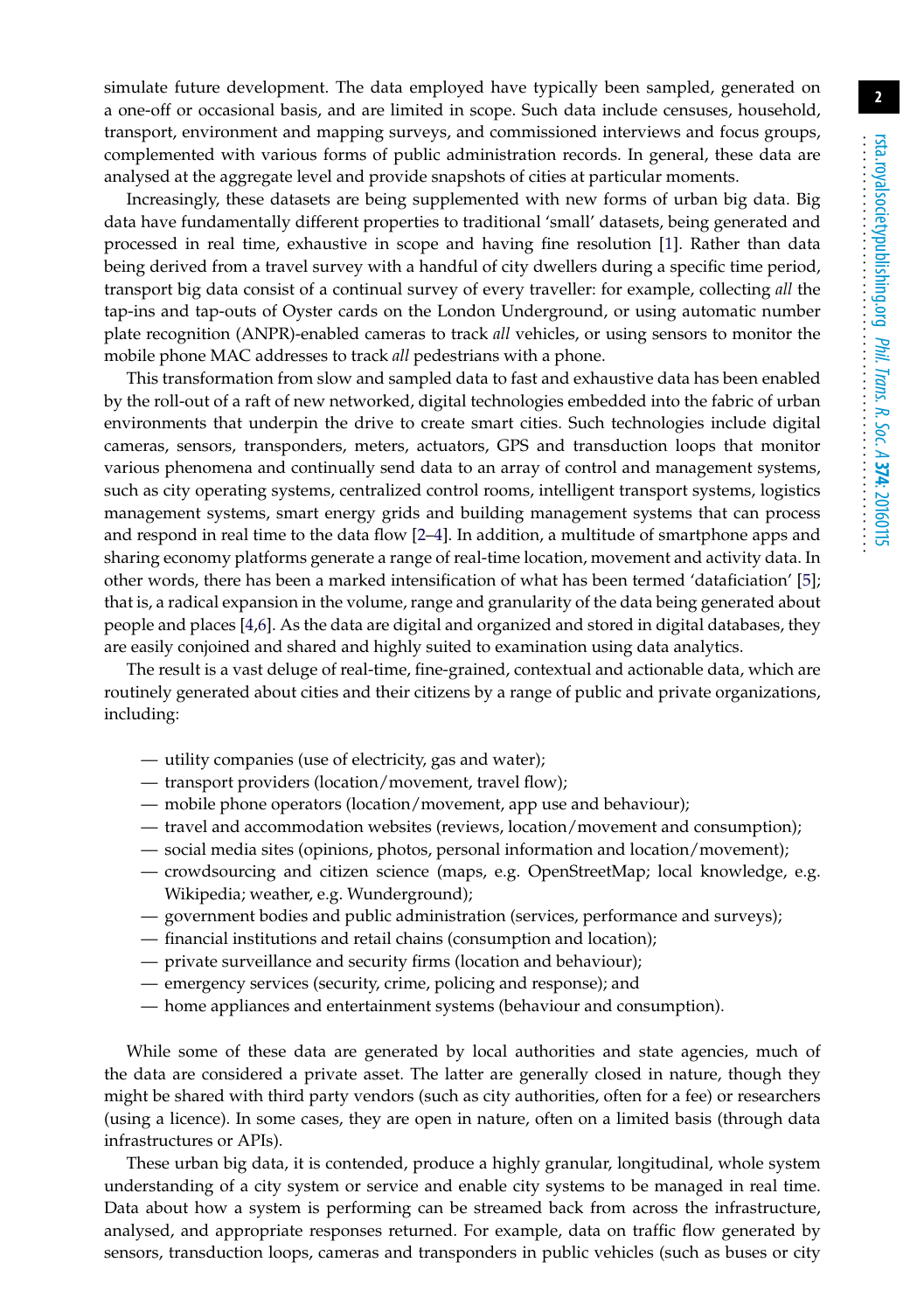simulate future development. The data employed have typically been sampled, generated on a one-off or occasional basis, and are limited in scope. Such data include censuses, household, transport, environment and mapping surveys, and commissioned interviews and focus groups, complemented with various forms of public administration records. In general, these data are analysed at the aggregate level and provide snapshots of cities at particular moments.

Increasingly, these datasets are being supplemented with new forms of urban big data. Big data have fundamentally different properties to traditional 'small' datasets, being generated and processed in real time, exhaustive in scope and having fine resolution [\[1\]](#page-11-0). Rather than data being derived from a travel survey with a handful of city dwellers during a specific time period, transport big data consist of a continual survey of every traveller: for example, collecting *all* the tap-ins and tap-outs of Oyster cards on the London Underground, or using automatic number plate recognition (ANPR)-enabled cameras to track *all* vehicles, or using sensors to monitor the mobile phone MAC addresses to track *all* pedestrians with a phone.

This transformation from slow and sampled data to fast and exhaustive data has been enabled by the roll-out of a raft of new networked, digital technologies embedded into the fabric of urban environments that underpin the drive to create smart cities. Such technologies include digital cameras, sensors, transponders, meters, actuators, GPS and transduction loops that monitor various phenomena and continually send data to an array of control and management systems, such as city operating systems, centralized control rooms, intelligent transport systems, logistics management systems, smart energy grids and building management systems that can process and respond in real time to the data flow [\[2](#page-11-1)[–4\]](#page-11-2). In addition, a multitude of smartphone apps and sharing economy platforms generate a range of real-time location, movement and activity data. In other words, there has been a marked intensification of what has been termed 'dataficiation' [\[5\]](#page-11-3); that is, a radical expansion in the volume, range and granularity of the data being generated about people and places [\[4](#page-11-2)[,6\]](#page-11-4). As the data are digital and organized and stored in digital databases, they are easily conjoined and shared and highly suited to examination using data analytics.

The result is a vast deluge of real-time, fine-grained, contextual and actionable data, which are routinely generated about cities and their citizens by a range of public and private organizations, including:

- utility companies (use of electricity, gas and water);
- transport providers (location/movement, travel flow);
- mobile phone operators (location/movement, app use and behaviour);
- travel and accommodation websites (reviews, location/movement and consumption);
- social media sites (opinions, photos, personal information and location/movement);
- crowdsourcing and citizen science (maps, e.g. OpenStreetMap; local knowledge, e.g. Wikipedia; weather, e.g. Wunderground);
- government bodies and public administration (services, performance and surveys);
- financial institutions and retail chains (consumption and location);
- private surveillance and security firms (location and behaviour);
- emergency services (security, crime, policing and response); and
- home appliances and entertainment systems (behaviour and consumption).

While some of these data are generated by local authorities and state agencies, much of the data are considered a private asset. The latter are generally closed in nature, though they might be shared with third party vendors (such as city authorities, often for a fee) or researchers (using a licence). In some cases, they are open in nature, often on a limited basis (through data infrastructures or APIs).

These urban big data, it is contended, produce a highly granular, longitudinal, whole system understanding of a city system or service and enable city systems to be managed in real time. Data about how a system is performing can be streamed back from across the infrastructure, analysed, and appropriate responses returned. For example, data on traffic flow generated by sensors, transduction loops, cameras and transponders in public vehicles (such as buses or city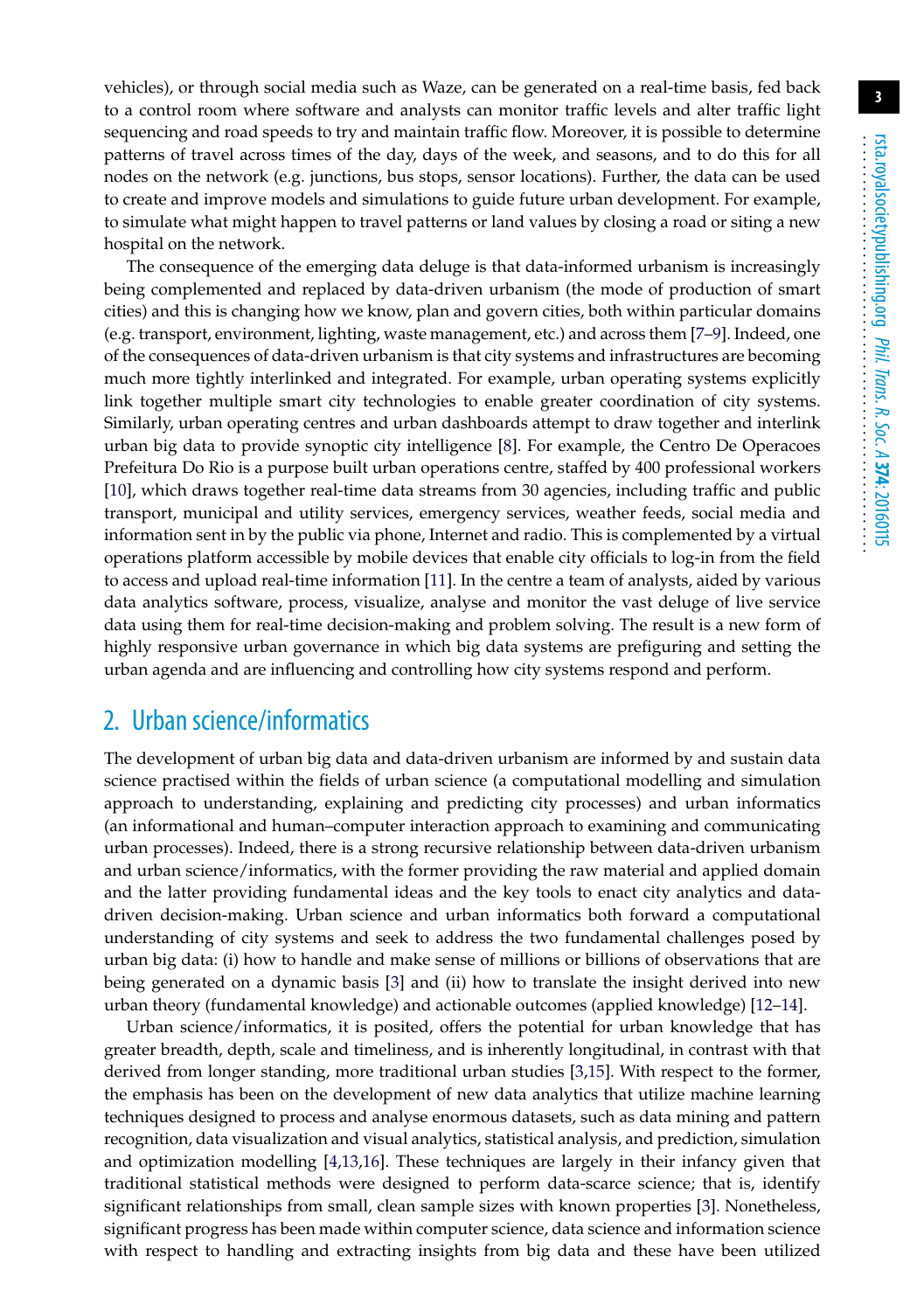vehicles), or through social media such as Waze, can be generated on a real-time basis, fed back to a control room where software and analysts can monitor traffic levels and alter traffic light sequencing and road speeds to try and maintain traffic flow. Moreover, it is possible to determine patterns of travel across times of the day, days of the week, and seasons, and to do this for all nodes on the network (e.g. junctions, bus stops, sensor locations). Further, the data can be used to create and improve models and simulations to guide future urban development. For example, to simulate what might happen to travel patterns or land values by closing a road or siting a new hospital on the network.

The consequence of the emerging data deluge is that data-informed urbanism is increasingly being complemented and replaced by data-driven urbanism (the mode of production of smart cities) and this is changing how we know, plan and govern cities, both within particular domains (e.g. transport, environment, lighting, waste management, etc.) and across them [\[7–](#page-11-5)[9\]](#page-11-6). Indeed, one of the consequences of data-driven urbanism is that city systems and infrastructures are becoming much more tightly interlinked and integrated. For example, urban operating systems explicitly link together multiple smart city technologies to enable greater coordination of city systems. Similarly, urban operating centres and urban dashboards attempt to draw together and interlink urban big data to provide synoptic city intelligence [\[8\]](#page-11-7). For example, the Centro De Operacoes Prefeitura Do Rio is a purpose built urban operations centre, staffed by 400 professional workers [\[10\]](#page-12-0), which draws together real-time data streams from 30 agencies, including traffic and public transport, municipal and utility services, emergency services, weather feeds, social media and information sent in by the public via phone, Internet and radio. This is complemented by a virtual operations platform accessible by mobile devices that enable city officials to log-in from the field to access and upload real-time information [\[11\]](#page-12-1). In the centre a team of analysts, aided by various data analytics software, process, visualize, analyse and monitor the vast deluge of live service data using them for real-time decision-making and problem solving. The result is a new form of highly responsive urban governance in which big data systems are prefiguring and setting the urban agenda and are influencing and controlling how city systems respond and perform.

# 2. Urban science/informatics

The development of urban big data and data-driven urbanism are informed by and sustain data science practised within the fields of urban science (a computational modelling and simulation approach to understanding, explaining and predicting city processes) and urban informatics (an informational and human–computer interaction approach to examining and communicating urban processes). Indeed, there is a strong recursive relationship between data-driven urbanism and urban science/informatics, with the former providing the raw material and applied domain and the latter providing fundamental ideas and the key tools to enact city analytics and datadriven decision-making. Urban science and urban informatics both forward a computational understanding of city systems and seek to address the two fundamental challenges posed by urban big data: (i) how to handle and make sense of millions or billions of observations that are being generated on a dynamic basis [\[3\]](#page-11-8) and (ii) how to translate the insight derived into new urban theory (fundamental knowledge) and actionable outcomes (applied knowledge) [\[12–](#page-12-2)[14\]](#page-12-3).

Urban science/informatics, it is posited, offers the potential for urban knowledge that has greater breadth, depth, scale and timeliness, and is inherently longitudinal, in contrast with that derived from longer standing, more traditional urban studies [\[3,](#page-11-8)[15\]](#page-12-4). With respect to the former, the emphasis has been on the development of new data analytics that utilize machine learning techniques designed to process and analyse enormous datasets, such as data mining and pattern recognition, data visualization and visual analytics, statistical analysis, and prediction, simulation and optimization modelling [\[4](#page-11-2)[,13](#page-12-5)[,16\]](#page-12-6). These techniques are largely in their infancy given that traditional statistical methods were designed to perform data-scarce science; that is, identify significant relationships from small, clean sample sizes with known properties [\[3\]](#page-11-8). Nonetheless, significant progress has been made within computer science, data science and information science with respect to handling and extracting insights from big data and these have been utilized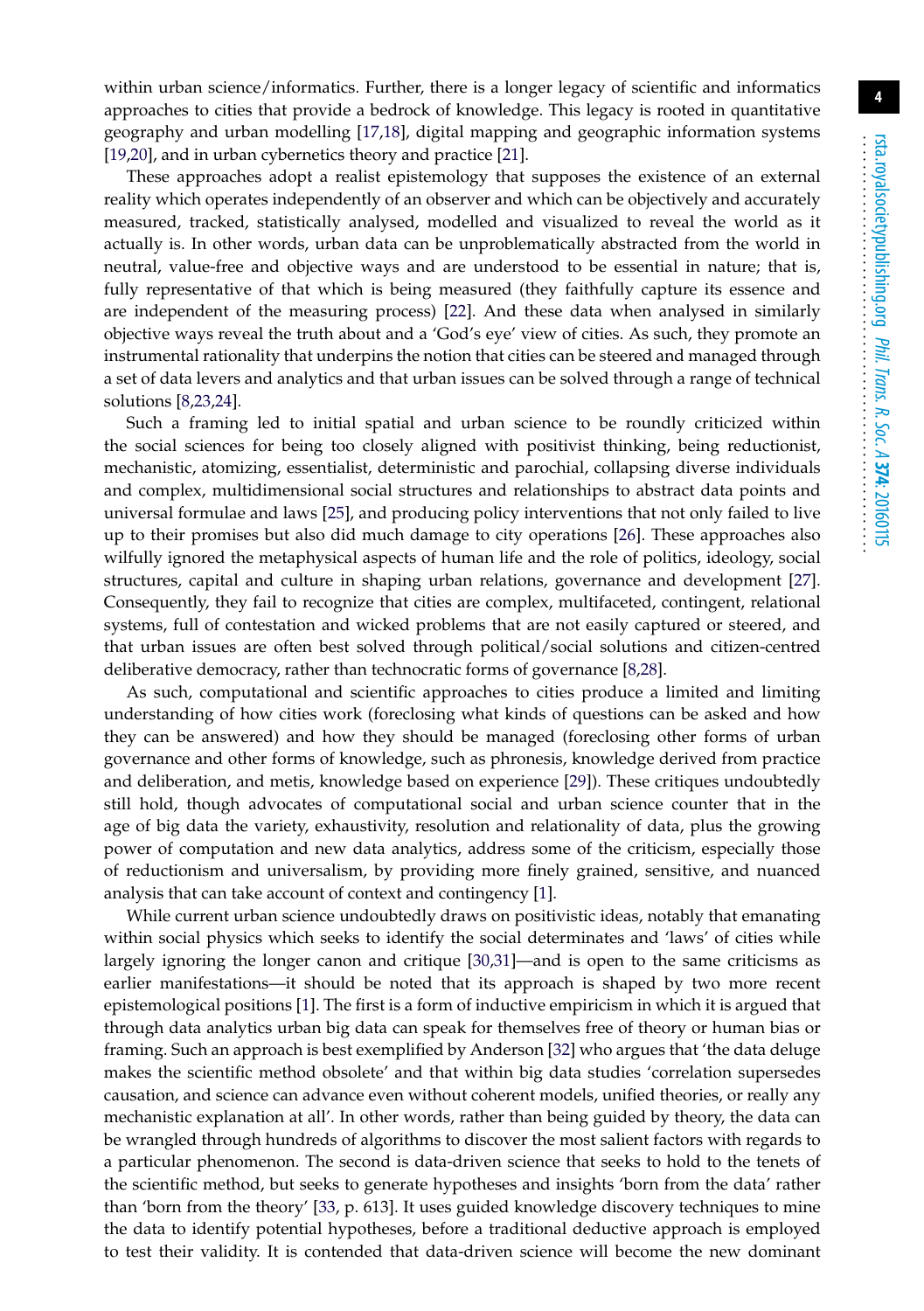within urban science/informatics. Further, there is a longer legacy of scientific and informatics approaches to cities that provide a bedrock of knowledge. This legacy is rooted in quantitative geography and urban modelling [\[17](#page-12-7)[,18\]](#page-12-8), digital mapping and geographic information systems [\[19](#page-12-9)[,20\]](#page-12-10), and in urban cybernetics theory and practice [\[21\]](#page-12-11).

These approaches adopt a realist epistemology that supposes the existence of an external reality which operates independently of an observer and which can be objectively and accurately measured, tracked, statistically analysed, modelled and visualized to reveal the world as it actually is. In other words, urban data can be unproblematically abstracted from the world in neutral, value-free and objective ways and are understood to be essential in nature; that is, fully representative of that which is being measured (they faithfully capture its essence and are independent of the measuring process) [\[22\]](#page-12-12). And these data when analysed in similarly objective ways reveal the truth about and a 'God's eye' view of cities. As such, they promote an instrumental rationality that underpins the notion that cities can be steered and managed through a set of data levers and analytics and that urban issues can be solved through a range of technical solutions [\[8](#page-11-7)[,23,](#page-12-13)[24\]](#page-12-14).

Such a framing led to initial spatial and urban science to be roundly criticized within the social sciences for being too closely aligned with positivist thinking, being reductionist, mechanistic, atomizing, essentialist, deterministic and parochial, collapsing diverse individuals and complex, multidimensional social structures and relationships to abstract data points and universal formulae and laws [\[25\]](#page-12-15), and producing policy interventions that not only failed to live up to their promises but also did much damage to city operations [\[26\]](#page-12-16). These approaches also wilfully ignored the metaphysical aspects of human life and the role of politics, ideology, social structures, capital and culture in shaping urban relations, governance and development [\[27\]](#page-12-17). Consequently, they fail to recognize that cities are complex, multifaceted, contingent, relational systems, full of contestation and wicked problems that are not easily captured or steered, and that urban issues are often best solved through political/social solutions and citizen-centred deliberative democracy, rather than technocratic forms of governance [\[8,](#page-11-7)[28\]](#page-12-18).

As such, computational and scientific approaches to cities produce a limited and limiting understanding of how cities work (foreclosing what kinds of questions can be asked and how they can be answered) and how they should be managed (foreclosing other forms of urban governance and other forms of knowledge, such as phronesis, knowledge derived from practice and deliberation, and metis, knowledge based on experience [\[29\]](#page-12-19)). These critiques undoubtedly still hold, though advocates of computational social and urban science counter that in the age of big data the variety, exhaustivity, resolution and relationality of data, plus the growing power of computation and new data analytics, address some of the criticism, especially those of reductionism and universalism, by providing more finely grained, sensitive, and nuanced analysis that can take account of context and contingency [\[1\]](#page-11-0).

While current urban science undoubtedly draws on positivistic ideas, notably that emanating within social physics which seeks to identify the social determinates and 'laws' of cities while largely ignoring the longer canon and critique [\[30,](#page-12-20)[31\]](#page-12-21)—and is open to the same criticisms as earlier manifestations—it should be noted that its approach is shaped by two more recent epistemological positions [\[1\]](#page-11-0). The first is a form of inductive empiricism in which it is argued that through data analytics urban big data can speak for themselves free of theory or human bias or framing. Such an approach is best exemplified by Anderson [\[32\]](#page-12-22) who argues that 'the data deluge makes the scientific method obsolete' and that within big data studies 'correlation supersedes causation, and science can advance even without coherent models, unified theories, or really any mechanistic explanation at all'. In other words, rather than being guided by theory, the data can be wrangled through hundreds of algorithms to discover the most salient factors with regards to a particular phenomenon. The second is data-driven science that seeks to hold to the tenets of the scientific method, but seeks to generate hypotheses and insights 'born from the data' rather than 'born from the theory' [\[33,](#page-12-23) p. 613]. It uses guided knowledge discovery techniques to mine the data to identify potential hypotheses, before a traditional deductive approach is employed to test their validity. It is contended that data-driven science will become the new dominant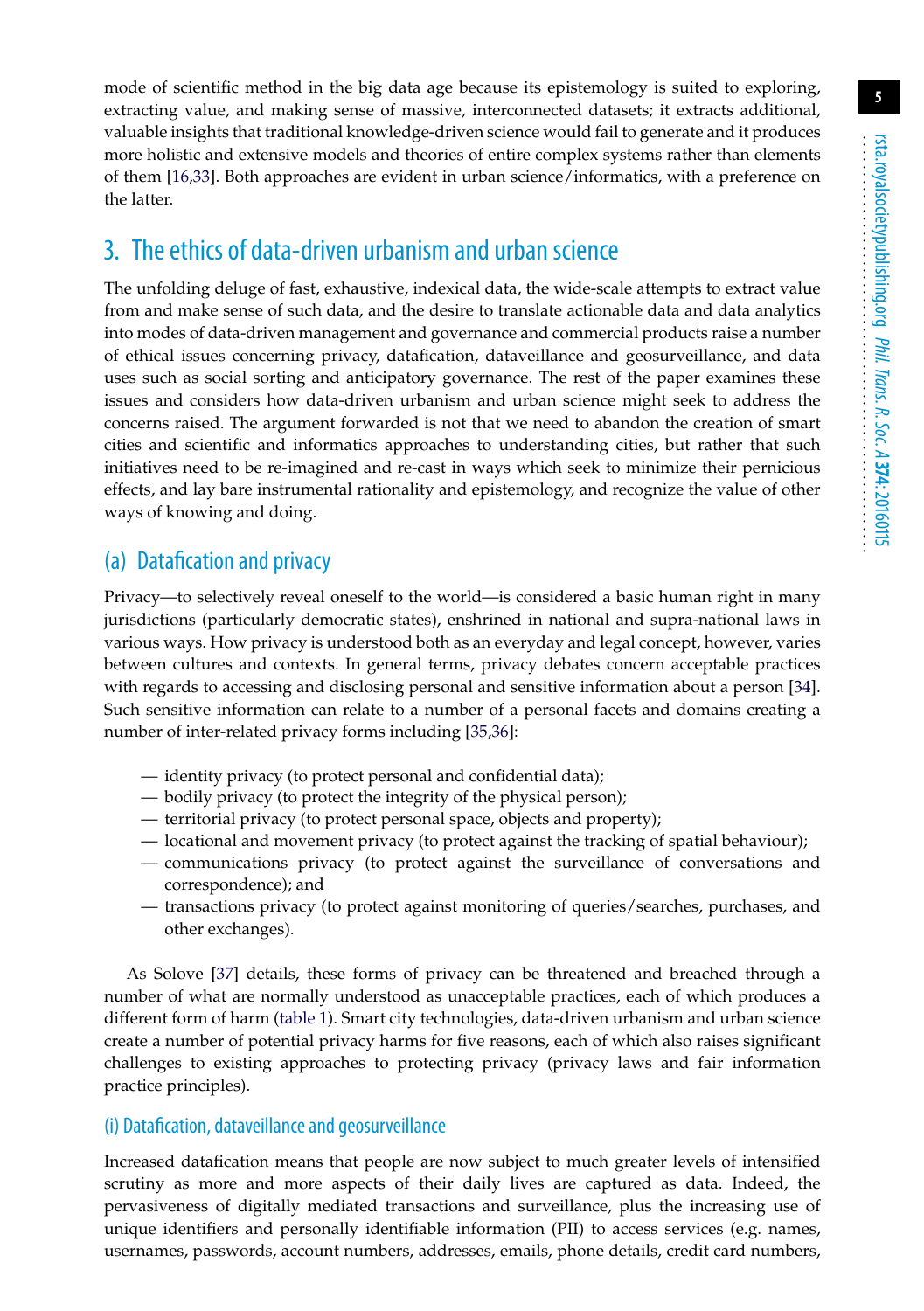mode of scientific method in the big data age because its epistemology is suited to exploring, extracting value, and making sense of massive, interconnected datasets; it extracts additional, valuable insights that traditional knowledge-driven science would fail to generate and it produces more holistic and extensive models and theories of entire complex systems rather than elements of them [\[16](#page-12-6)[,33\]](#page-12-23). Both approaches are evident in urban science/informatics, with a preference on the latter.

# 3. The ethics of data-driven urbanism and urban science

The unfolding deluge of fast, exhaustive, indexical data, the wide-scale attempts to extract value from and make sense of such data, and the desire to translate actionable data and data analytics into modes of data-driven management and governance and commercial products raise a number of ethical issues concerning privacy, datafication, dataveillance and geosurveillance, and data uses such as social sorting and anticipatory governance. The rest of the paper examines these issues and considers how data-driven urbanism and urban science might seek to address the concerns raised. The argument forwarded is not that we need to abandon the creation of smart cities and scientific and informatics approaches to understanding cities, but rather that such initiatives need to be re-imagined and re-cast in ways which seek to minimize their pernicious effects, and lay bare instrumental rationality and epistemology, and recognize the value of other ways of knowing and doing.

## (a) Datafication and privacy

Privacy—to selectively reveal oneself to the world—is considered a basic human right in many jurisdictions (particularly democratic states), enshrined in national and supra-national laws in various ways. How privacy is understood both as an everyday and legal concept, however, varies between cultures and contexts. In general terms, privacy debates concern acceptable practices with regards to accessing and disclosing personal and sensitive information about a person [\[34\]](#page-12-24). Such sensitive information can relate to a number of a personal facets and domains creating a number of inter-related privacy forms including [\[35,](#page-12-25)[36\]](#page-12-26):

- identity privacy (to protect personal and confidential data);
- bodily privacy (to protect the integrity of the physical person);
- territorial privacy (to protect personal space, objects and property);
- locational and movement privacy (to protect against the tracking of spatial behaviour);
- communications privacy (to protect against the surveillance of conversations and correspondence); and
- transactions privacy (to protect against monitoring of queries/searches, purchases, and other exchanges).

As Solove [\[37\]](#page-12-27) details, these forms of privacy can be threatened and breached through a number of what are normally understood as unacceptable practices, each of which produces a different form of harm [\(table 1\)](#page-5-0). Smart city technologies, data-driven urbanism and urban science create a number of potential privacy harms for five reasons, each of which also raises significant challenges to existing approaches to protecting privacy (privacy laws and fair information practice principles).

### (i) Datafication, dataveillance and geosurveillance

Increased datafication means that people are now subject to much greater levels of intensified scrutiny as more and more aspects of their daily lives are captured as data. Indeed, the pervasiveness of digitally mediated transactions and surveillance, plus the increasing use of unique identifiers and personally identifiable information (PII) to access services (e.g. names, usernames, passwords, account numbers, addresses, emails, phone details, credit card numbers,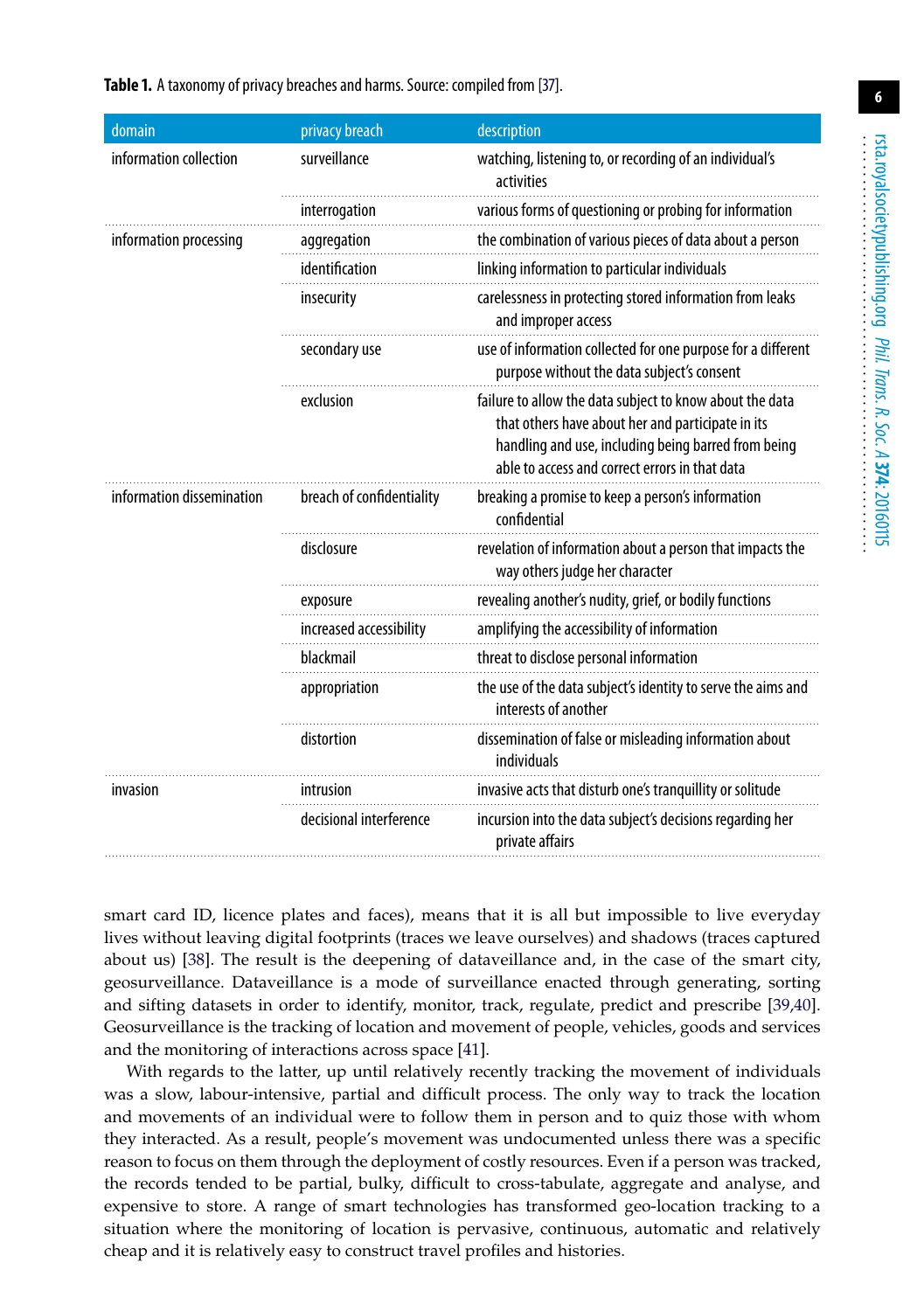<span id="page-5-0"></span>**Table 1.** A taxonomy of privacy breaches and harms. Source: compiled from [\[37\]](#page-12-27).

| domain                    | privacy breach            | description                                                                                                                                                                                                            |
|---------------------------|---------------------------|------------------------------------------------------------------------------------------------------------------------------------------------------------------------------------------------------------------------|
| information collection    | surveillance              | watching, listening to, or recording of an individual's<br>activities                                                                                                                                                  |
|                           | interrogation             | various forms of questioning or probing for information                                                                                                                                                                |
| information processing    | aggregation               | the combination of various pieces of data about a person                                                                                                                                                               |
|                           | identification            | linking information to particular individuals                                                                                                                                                                          |
|                           | insecurity                | carelessness in protecting stored information from leaks<br>and improper access                                                                                                                                        |
|                           | secondary use             | use of information collected for one purpose for a different<br>purpose without the data subject's consent                                                                                                             |
|                           | exclusion                 | failure to allow the data subject to know about the data<br>that others have about her and participate in its<br>handling and use, including being barred from being<br>able to access and correct errors in that data |
| information dissemination | breach of confidentiality | breaking a promise to keep a person's information<br>confidential                                                                                                                                                      |
|                           | disclosure                | revelation of information about a person that impacts the<br>way others judge her character                                                                                                                            |
|                           | exposure                  | revealing another's nudity, grief, or bodily functions                                                                                                                                                                 |
|                           | increased accessibility   | amplifying the accessibility of information                                                                                                                                                                            |
|                           | blackmail                 | threat to disclose personal information                                                                                                                                                                                |
|                           | appropriation             | the use of the data subject's identity to serve the aims and<br>interests of another                                                                                                                                   |
|                           | distortion                | dissemination of false or misleading information about<br>individuals                                                                                                                                                  |
| invasion                  | intrusion                 | invasive acts that disturb one's tranquillity or solitude                                                                                                                                                              |
|                           | decisional interference   | incursion into the data subject's decisions regarding her<br>private affairs                                                                                                                                           |

smart card ID, licence plates and faces), means that it is all but impossible to live everyday lives without leaving digital footprints (traces we leave ourselves) and shadows (traces captured about us) [\[38\]](#page-13-0). The result is the deepening of dataveillance and, in the case of the smart city, geosurveillance. Dataveillance is a mode of surveillance enacted through generating, sorting and sifting datasets in order to identify, monitor, track, regulate, predict and prescribe [\[39,](#page-13-1)[40\]](#page-13-2). Geosurveillance is the tracking of location and movement of people, vehicles, goods and services and the monitoring of interactions across space [\[41\]](#page-13-3).

With regards to the latter, up until relatively recently tracking the movement of individuals was a slow, labour-intensive, partial and difficult process. The only way to track the location and movements of an individual were to follow them in person and to quiz those with whom they interacted. As a result, people's movement was undocumented unless there was a specific reason to focus on them through the deployment of costly resources. Even if a person was tracked, the records tended to be partial, bulky, difficult to cross-tabulate, aggregate and analyse, and expensive to store. A range of smart technologies has transformed geo-location tracking to a situation where the monitoring of location is pervasive, continuous, automatic and relatively cheap and it is relatively easy to construct travel profiles and histories.

**6**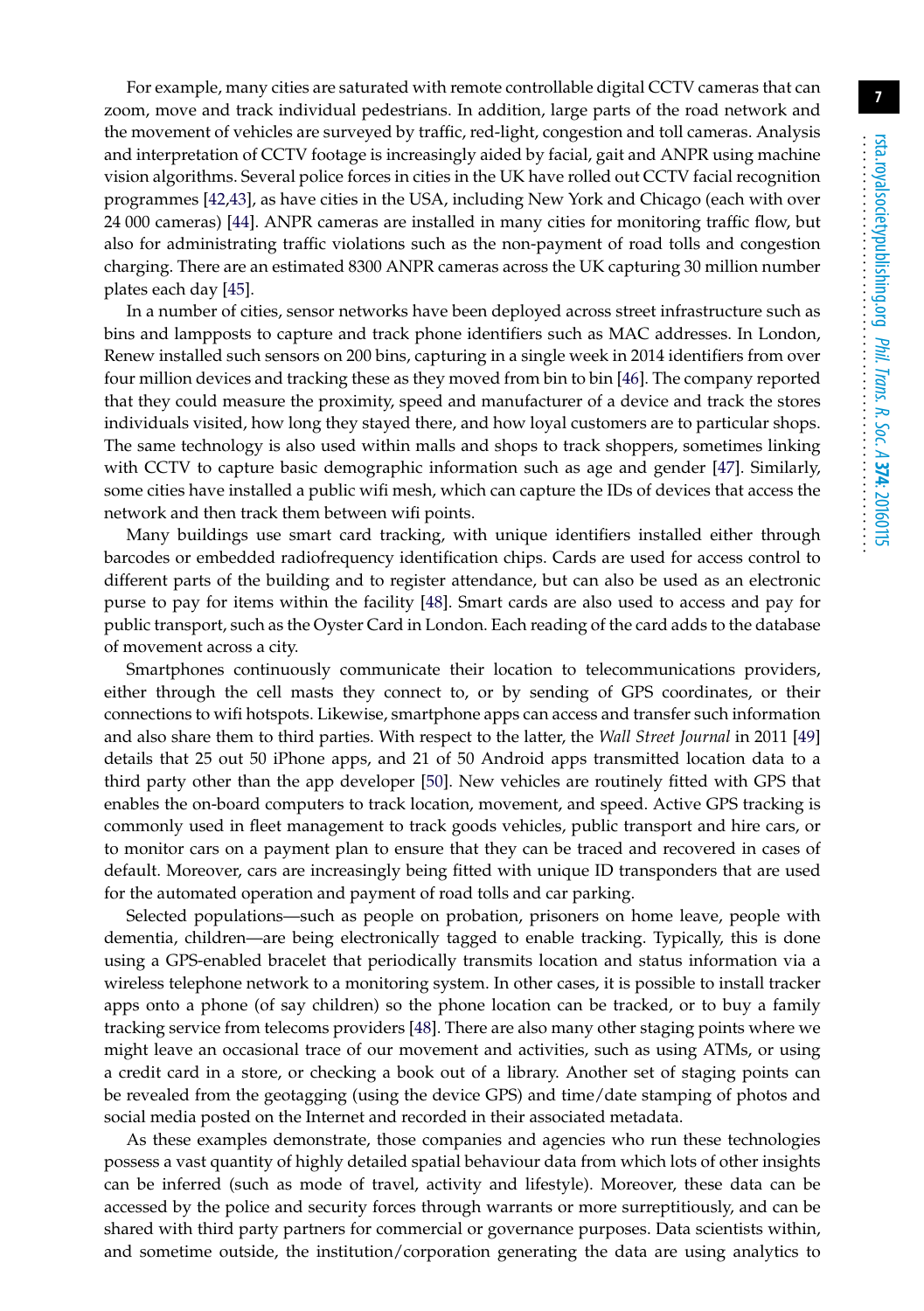For example, many cities are saturated with remote controllable digital CCTV cameras that can zoom, move and track individual pedestrians. In addition, large parts of the road network and the movement of vehicles are surveyed by traffic, red-light, congestion and toll cameras. Analysis and interpretation of CCTV footage is increasingly aided by facial, gait and ANPR using machine vision algorithms. Several police forces in cities in the UK have rolled out CCTV facial recognition programmes [\[42](#page-13-4)[,43\]](#page-13-5), as have cities in the USA, including New York and Chicago (each with over 24 000 cameras) [\[44\]](#page-13-6). ANPR cameras are installed in many cities for monitoring traffic flow, but also for administrating traffic violations such as the non-payment of road tolls and congestion charging. There are an estimated 8300 ANPR cameras across the UK capturing 30 million number plates each day [\[45\]](#page-13-7).

In a number of cities, sensor networks have been deployed across street infrastructure such as bins and lampposts to capture and track phone identifiers such as MAC addresses. In London, Renew installed such sensors on 200 bins, capturing in a single week in 2014 identifiers from over four million devices and tracking these as they moved from bin to bin [\[46\]](#page-13-8). The company reported that they could measure the proximity, speed and manufacturer of a device and track the stores individuals visited, how long they stayed there, and how loyal customers are to particular shops. The same technology is also used within malls and shops to track shoppers, sometimes linking with CCTV to capture basic demographic information such as age and gender [\[47\]](#page-13-9). Similarly, some cities have installed a public wifi mesh, which can capture the IDs of devices that access the network and then track them between wifi points.

Many buildings use smart card tracking, with unique identifiers installed either through barcodes or embedded radiofrequency identification chips. Cards are used for access control to different parts of the building and to register attendance, but can also be used as an electronic purse to pay for items within the facility [\[48\]](#page-13-10). Smart cards are also used to access and pay for public transport, such as the Oyster Card in London. Each reading of the card adds to the database of movement across a city.

Smartphones continuously communicate their location to telecommunications providers, either through the cell masts they connect to, or by sending of GPS coordinates, or their connections to wifi hotspots. Likewise, smartphone apps can access and transfer such information and also share them to third parties. With respect to the latter, the *Wall Street Journal* in 2011 [\[49\]](#page-13-11) details that 25 out 50 iPhone apps, and 21 of 50 Android apps transmitted location data to a third party other than the app developer [\[50\]](#page-13-12). New vehicles are routinely fitted with GPS that enables the on-board computers to track location, movement, and speed. Active GPS tracking is commonly used in fleet management to track goods vehicles, public transport and hire cars, or to monitor cars on a payment plan to ensure that they can be traced and recovered in cases of default. Moreover, cars are increasingly being fitted with unique ID transponders that are used for the automated operation and payment of road tolls and car parking.

Selected populations—such as people on probation, prisoners on home leave, people with dementia, children—are being electronically tagged to enable tracking. Typically, this is done using a GPS-enabled bracelet that periodically transmits location and status information via a wireless telephone network to a monitoring system. In other cases, it is possible to install tracker apps onto a phone (of say children) so the phone location can be tracked, or to buy a family tracking service from telecoms providers [\[48\]](#page-13-10). There are also many other staging points where we might leave an occasional trace of our movement and activities, such as using ATMs, or using a credit card in a store, or checking a book out of a library. Another set of staging points can be revealed from the geotagging (using the device GPS) and time/date stamping of photos and social media posted on the Internet and recorded in their associated metadata.

As these examples demonstrate, those companies and agencies who run these technologies possess a vast quantity of highly detailed spatial behaviour data from which lots of other insights can be inferred (such as mode of travel, activity and lifestyle). Moreover, these data can be accessed by the police and security forces through warrants or more surreptitiously, and can be shared with third party partners for commercial or governance purposes. Data scientists within, and sometime outside, the institution/corporation generating the data are using analytics to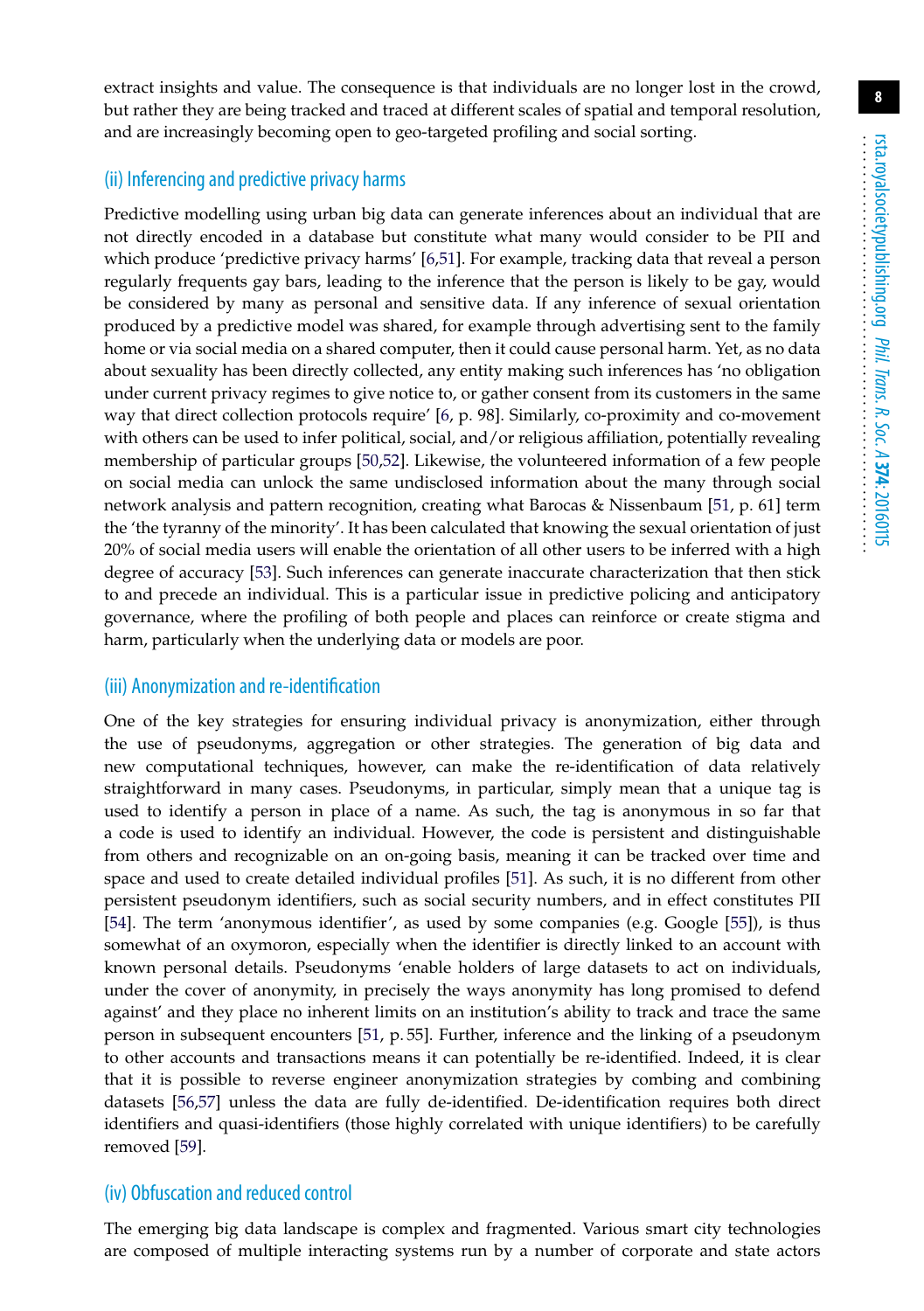extract insights and value. The consequence is that individuals are no longer lost in the crowd, but rather they are being tracked and traced at different scales of spatial and temporal resolution, and are increasingly becoming open to geo-targeted profiling and social sorting.

#### (ii) Inferencing and predictive privacy harms

Predictive modelling using urban big data can generate inferences about an individual that are not directly encoded in a database but constitute what many would consider to be PII and which produce 'predictive privacy harms' [\[6](#page-11-4)[,51\]](#page-13-13). For example, tracking data that reveal a person regularly frequents gay bars, leading to the inference that the person is likely to be gay, would be considered by many as personal and sensitive data. If any inference of sexual orientation produced by a predictive model was shared, for example through advertising sent to the family home or via social media on a shared computer, then it could cause personal harm. Yet, as no data about sexuality has been directly collected, any entity making such inferences has 'no obligation under current privacy regimes to give notice to, or gather consent from its customers in the same way that direct collection protocols require' [\[6,](#page-11-4) p. 98]. Similarly, co-proximity and co-movement with others can be used to infer political, social, and/or religious affiliation, potentially revealing membership of particular groups [\[50](#page-13-12)[,52\]](#page-13-14). Likewise, the volunteered information of a few people on social media can unlock the same undisclosed information about the many through social network analysis and pattern recognition, creating what Barocas & Nissenbaum [\[51,](#page-13-13) p. 61] term the 'the tyranny of the minority'. It has been calculated that knowing the sexual orientation of just 20% of social media users will enable the orientation of all other users to be inferred with a high degree of accuracy [\[53\]](#page-13-15). Such inferences can generate inaccurate characterization that then stick to and precede an individual. This is a particular issue in predictive policing and anticipatory governance, where the profiling of both people and places can reinforce or create stigma and harm, particularly when the underlying data or models are poor.

#### (iii) Anonymization and re-identification

One of the key strategies for ensuring individual privacy is anonymization, either through the use of pseudonyms, aggregation or other strategies. The generation of big data and new computational techniques, however, can make the re-identification of data relatively straightforward in many cases. Pseudonyms, in particular, simply mean that a unique tag is used to identify a person in place of a name. As such, the tag is anonymous in so far that a code is used to identify an individual. However, the code is persistent and distinguishable from others and recognizable on an on-going basis, meaning it can be tracked over time and space and used to create detailed individual profiles [\[51\]](#page-13-13). As such, it is no different from other persistent pseudonym identifiers, such as social security numbers, and in effect constitutes PII [\[54\]](#page-13-16). The term 'anonymous identifier', as used by some companies (e.g. Google [\[55\]](#page-13-17)), is thus somewhat of an oxymoron, especially when the identifier is directly linked to an account with known personal details. Pseudonyms 'enable holders of large datasets to act on individuals, under the cover of anonymity, in precisely the ways anonymity has long promised to defend against' and they place no inherent limits on an institution's ability to track and trace the same person in subsequent encounters [\[51,](#page-13-13) p. 55]. Further, inference and the linking of a pseudonym to other accounts and transactions means it can potentially be re-identified. Indeed, it is clear that it is possible to reverse engineer anonymization strategies by combing and combining datasets [\[56,](#page-13-18)[57\]](#page-13-19) unless the data are fully de-identified. De-identification requires both direct identifiers and quasi-identifiers (those highly correlated with unique identifiers) to be carefully removed [\[59\]](#page-13-20).

#### (iv) Obfuscation and reduced control

The emerging big data landscape is complex and fragmented. Various smart city technologies are composed of multiple interacting systems run by a number of corporate and state actors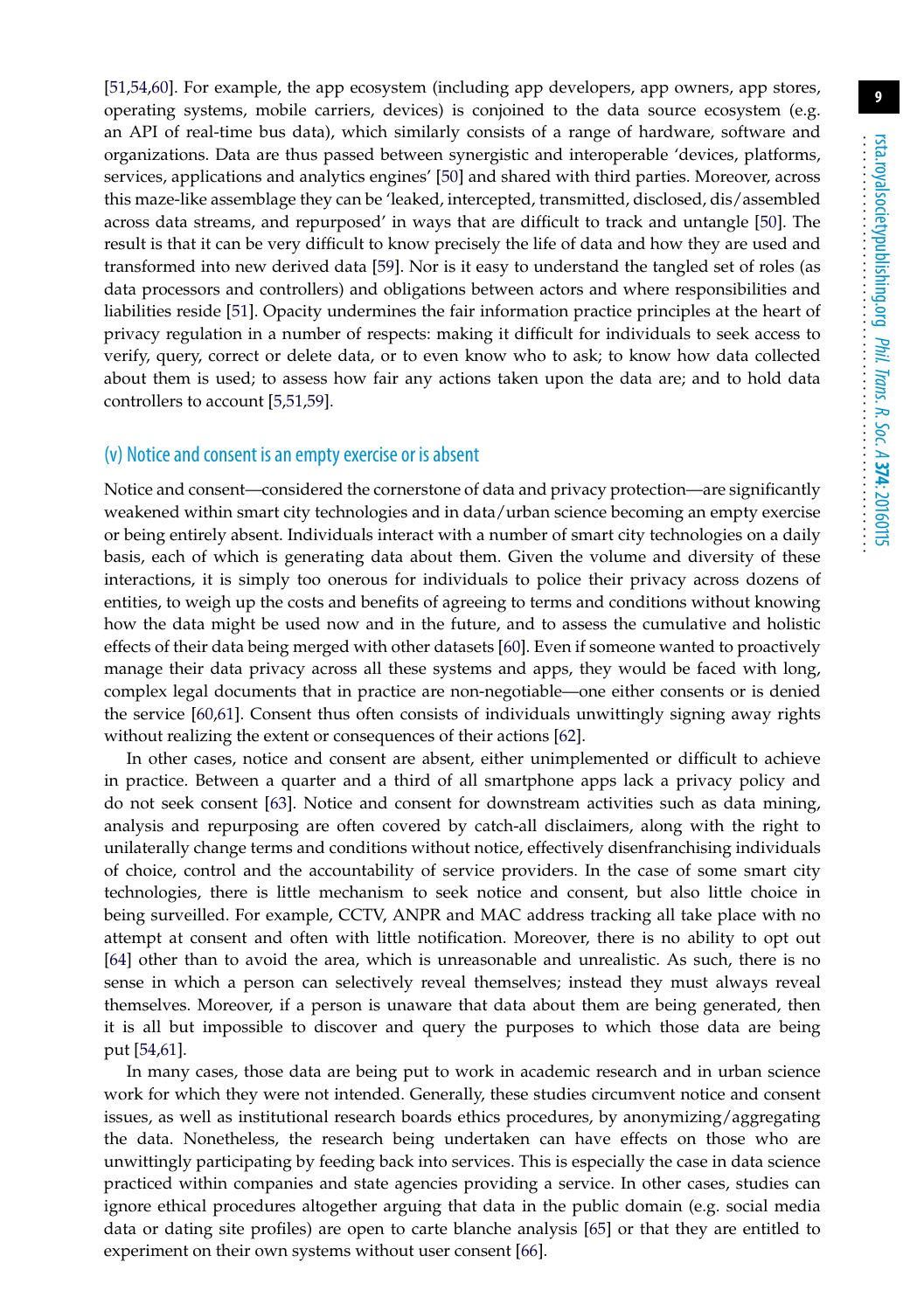[\[51](#page-13-13)[,54,](#page-13-16)[60\]](#page-14-0). For example, the app ecosystem (including app developers, app owners, app stores, operating systems, mobile carriers, devices) is conjoined to the data source ecosystem (e.g. an API of real-time bus data), which similarly consists of a range of hardware, software and organizations. Data are thus passed between synergistic and interoperable 'devices, platforms, services, applications and analytics engines' [\[50\]](#page-13-12) and shared with third parties. Moreover, across this maze-like assemblage they can be 'leaked, intercepted, transmitted, disclosed, dis/assembled across data streams, and repurposed' in ways that are difficult to track and untangle [\[50\]](#page-13-12). The result is that it can be very difficult to know precisely the life of data and how they are used and transformed into new derived data [\[59\]](#page-13-20). Nor is it easy to understand the tangled set of roles (as data processors and controllers) and obligations between actors and where responsibilities and liabilities reside [\[51\]](#page-13-13). Opacity undermines the fair information practice principles at the heart of privacy regulation in a number of respects: making it difficult for individuals to seek access to verify, query, correct or delete data, or to even know who to ask; to know how data collected about them is used; to assess how fair any actions taken upon the data are; and to hold data controllers to account [\[5,](#page-11-3)[51,](#page-13-13)[59\]](#page-13-20).

#### (v) Notice and consent is an empty exercise or is absent

Notice and consent—considered the cornerstone of data and privacy protection—are significantly weakened within smart city technologies and in data/urban science becoming an empty exercise or being entirely absent. Individuals interact with a number of smart city technologies on a daily basis, each of which is generating data about them. Given the volume and diversity of these interactions, it is simply too onerous for individuals to police their privacy across dozens of entities, to weigh up the costs and benefits of agreeing to terms and conditions without knowing how the data might be used now and in the future, and to assess the cumulative and holistic effects of their data being merged with other datasets [\[60\]](#page-14-0). Even if someone wanted to proactively manage their data privacy across all these systems and apps, they would be faced with long, complex legal documents that in practice are non-negotiable—one either consents or is denied the service [\[60](#page-14-0)[,61\]](#page-14-1). Consent thus often consists of individuals unwittingly signing away rights without realizing the extent or consequences of their actions [\[62\]](#page-14-2).

In other cases, notice and consent are absent, either unimplemented or difficult to achieve in practice. Between a quarter and a third of all smartphone apps lack a privacy policy and do not seek consent [\[63\]](#page-14-3). Notice and consent for downstream activities such as data mining, analysis and repurposing are often covered by catch-all disclaimers, along with the right to unilaterally change terms and conditions without notice, effectively disenfranchising individuals of choice, control and the accountability of service providers. In the case of some smart city technologies, there is little mechanism to seek notice and consent, but also little choice in being surveilled. For example, CCTV, ANPR and MAC address tracking all take place with no attempt at consent and often with little notification. Moreover, there is no ability to opt out [\[64\]](#page-14-4) other than to avoid the area, which is unreasonable and unrealistic. As such, there is no sense in which a person can selectively reveal themselves; instead they must always reveal themselves. Moreover, if a person is unaware that data about them are being generated, then it is all but impossible to discover and query the purposes to which those data are being put [\[54](#page-13-16)[,61\]](#page-14-1).

In many cases, those data are being put to work in academic research and in urban science work for which they were not intended. Generally, these studies circumvent notice and consent issues, as well as institutional research boards ethics procedures, by anonymizing/aggregating the data. Nonetheless, the research being undertaken can have effects on those who are unwittingly participating by feeding back into services. This is especially the case in data science practiced within companies and state agencies providing a service. In other cases, studies can ignore ethical procedures altogether arguing that data in the public domain (e.g. social media data or dating site profiles) are open to carte blanche analysis [\[65\]](#page-14-5) or that they are entitled to experiment on their own systems without user consent [\[66\]](#page-14-6).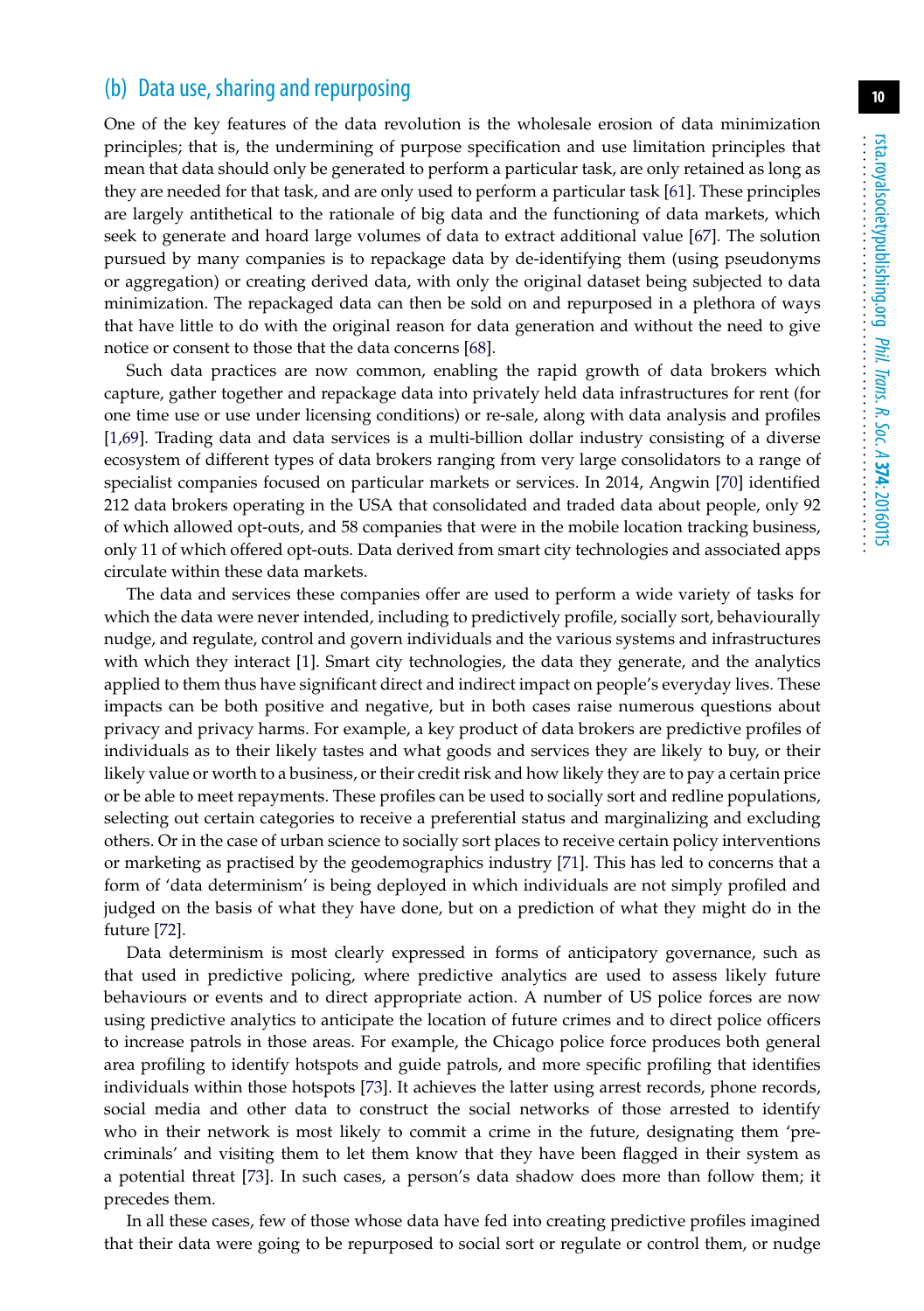### (b) Data use, sharing and repurposing

One of the key features of the data revolution is the wholesale erosion of data minimization principles; that is, the undermining of purpose specification and use limitation principles that mean that data should only be generated to perform a particular task, are only retained as long as they are needed for that task, and are only used to perform a particular task [\[61\]](#page-14-1). These principles are largely antithetical to the rationale of big data and the functioning of data markets, which seek to generate and hoard large volumes of data to extract additional value [\[67\]](#page-14-7). The solution pursued by many companies is to repackage data by de-identifying them (using pseudonyms or aggregation) or creating derived data, with only the original dataset being subjected to data minimization. The repackaged data can then be sold on and repurposed in a plethora of ways that have little to do with the original reason for data generation and without the need to give notice or consent to those that the data concerns [\[68\]](#page-14-8).

Such data practices are now common, enabling the rapid growth of data brokers which capture, gather together and repackage data into privately held data infrastructures for rent (for one time use or use under licensing conditions) or re-sale, along with data analysis and profiles [\[1](#page-11-0)[,69\]](#page-14-9). Trading data and data services is a multi-billion dollar industry consisting of a diverse ecosystem of different types of data brokers ranging from very large consolidators to a range of specialist companies focused on particular markets or services. In 2014, Angwin [\[70\]](#page-14-10) identified 212 data brokers operating in the USA that consolidated and traded data about people, only 92 of which allowed opt-outs, and 58 companies that were in the mobile location tracking business, only 11 of which offered opt-outs. Data derived from smart city technologies and associated apps circulate within these data markets.

The data and services these companies offer are used to perform a wide variety of tasks for which the data were never intended, including to predictively profile, socially sort, behaviourally nudge, and regulate, control and govern individuals and the various systems and infrastructures with which they interact [\[1\]](#page-11-0). Smart city technologies, the data they generate, and the analytics applied to them thus have significant direct and indirect impact on people's everyday lives. These impacts can be both positive and negative, but in both cases raise numerous questions about privacy and privacy harms. For example, a key product of data brokers are predictive profiles of individuals as to their likely tastes and what goods and services they are likely to buy, or their likely value or worth to a business, or their credit risk and how likely they are to pay a certain price or be able to meet repayments. These profiles can be used to socially sort and redline populations, selecting out certain categories to receive a preferential status and marginalizing and excluding others. Or in the case of urban science to socially sort places to receive certain policy interventions or marketing as practised by the geodemographics industry [\[71\]](#page-14-11). This has led to concerns that a form of 'data determinism' is being deployed in which individuals are not simply profiled and judged on the basis of what they have done, but on a prediction of what they might do in the future [\[72\]](#page-14-12).

Data determinism is most clearly expressed in forms of anticipatory governance, such as that used in predictive policing, where predictive analytics are used to assess likely future behaviours or events and to direct appropriate action. A number of US police forces are now using predictive analytics to anticipate the location of future crimes and to direct police officers to increase patrols in those areas. For example, the Chicago police force produces both general area profiling to identify hotspots and guide patrols, and more specific profiling that identifies individuals within those hotspots [\[73\]](#page-14-13). It achieves the latter using arrest records, phone records, social media and other data to construct the social networks of those arrested to identify who in their network is most likely to commit a crime in the future, designating them 'precriminals' and visiting them to let them know that they have been flagged in their system as a potential threat [\[73\]](#page-14-13). In such cases, a person's data shadow does more than follow them; it precedes them.

In all these cases, few of those whose data have fed into creating predictive profiles imagined that their data were going to be repurposed to social sort or regulate or control them, or nudge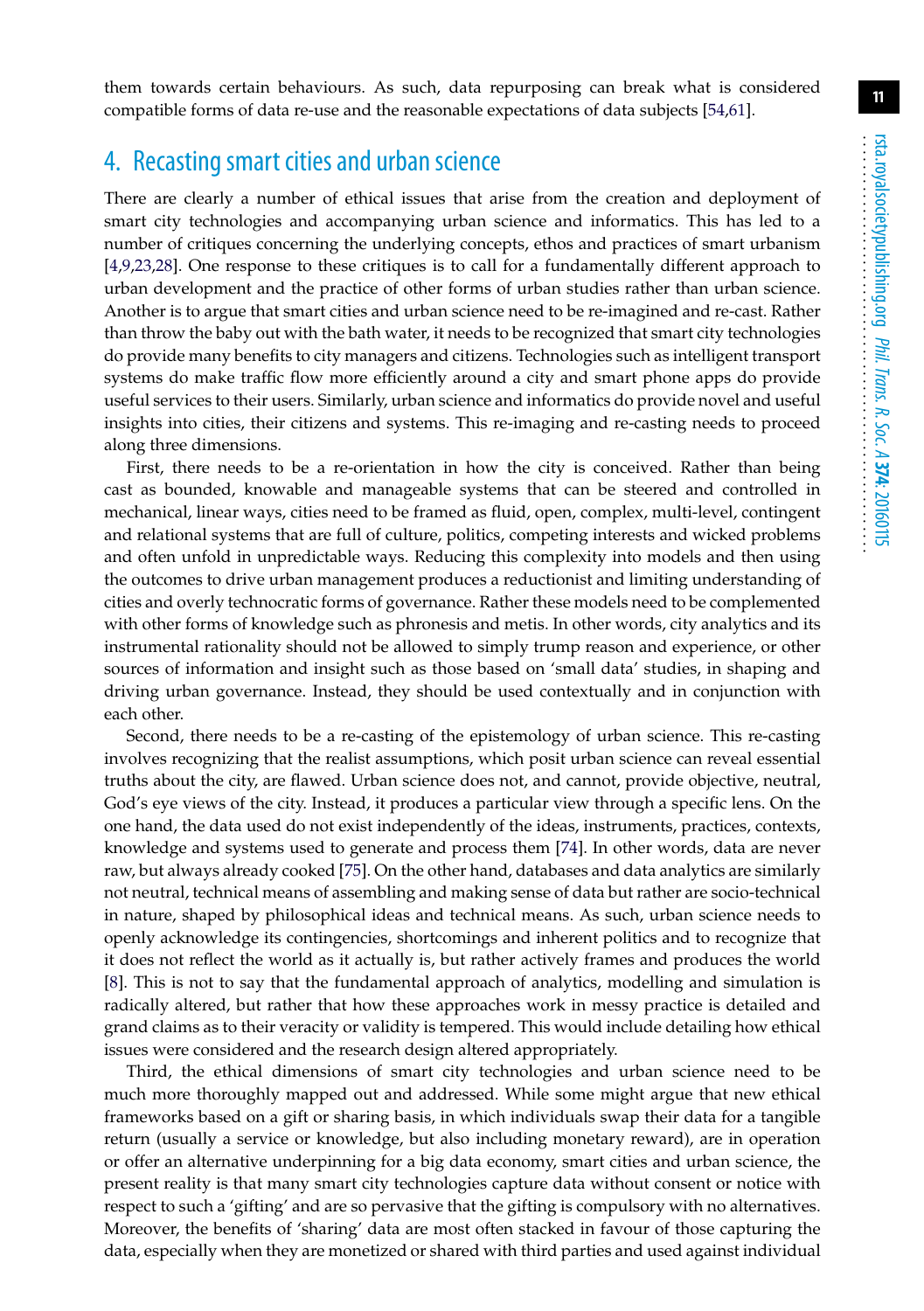them towards certain behaviours. As such, data repurposing can break what is considered compatible forms of data re-use and the reasonable expectations of data subjects [\[54](#page-13-16)[,61\]](#page-14-1).

## 4. Recasting smart cities and urban science

There are clearly a number of ethical issues that arise from the creation and deployment of smart city technologies and accompanying urban science and informatics. This has led to a number of critiques concerning the underlying concepts, ethos and practices of smart urbanism [\[4](#page-11-2)[,9,](#page-11-6)[23](#page-12-13)[,28\]](#page-12-18). One response to these critiques is to call for a fundamentally different approach to urban development and the practice of other forms of urban studies rather than urban science. Another is to argue that smart cities and urban science need to be re-imagined and re-cast. Rather than throw the baby out with the bath water, it needs to be recognized that smart city technologies do provide many benefits to city managers and citizens. Technologies such as intelligent transport systems do make traffic flow more efficiently around a city and smart phone apps do provide useful services to their users. Similarly, urban science and informatics do provide novel and useful insights into cities, their citizens and systems. This re-imaging and re-casting needs to proceed along three dimensions.

First, there needs to be a re-orientation in how the city is conceived. Rather than being cast as bounded, knowable and manageable systems that can be steered and controlled in mechanical, linear ways, cities need to be framed as fluid, open, complex, multi-level, contingent and relational systems that are full of culture, politics, competing interests and wicked problems and often unfold in unpredictable ways. Reducing this complexity into models and then using the outcomes to drive urban management produces a reductionist and limiting understanding of cities and overly technocratic forms of governance. Rather these models need to be complemented with other forms of knowledge such as phronesis and metis. In other words, city analytics and its instrumental rationality should not be allowed to simply trump reason and experience, or other sources of information and insight such as those based on 'small data' studies, in shaping and driving urban governance. Instead, they should be used contextually and in conjunction with each other.

Second, there needs to be a re-casting of the epistemology of urban science. This re-casting involves recognizing that the realist assumptions, which posit urban science can reveal essential truths about the city, are flawed. Urban science does not, and cannot, provide objective, neutral, God's eye views of the city. Instead, it produces a particular view through a specific lens. On the one hand, the data used do not exist independently of the ideas, instruments, practices, contexts, knowledge and systems used to generate and process them [\[74\]](#page-14-14). In other words, data are never raw, but always already cooked [\[75\]](#page-14-15). On the other hand, databases and data analytics are similarly not neutral, technical means of assembling and making sense of data but rather are socio-technical in nature, shaped by philosophical ideas and technical means. As such, urban science needs to openly acknowledge its contingencies, shortcomings and inherent politics and to recognize that it does not reflect the world as it actually is, but rather actively frames and produces the world [\[8\]](#page-11-7). This is not to say that the fundamental approach of analytics, modelling and simulation is radically altered, but rather that how these approaches work in messy practice is detailed and grand claims as to their veracity or validity is tempered. This would include detailing how ethical issues were considered and the research design altered appropriately.

Third, the ethical dimensions of smart city technologies and urban science need to be much more thoroughly mapped out and addressed. While some might argue that new ethical frameworks based on a gift or sharing basis, in which individuals swap their data for a tangible return (usually a service or knowledge, but also including monetary reward), are in operation or offer an alternative underpinning for a big data economy, smart cities and urban science, the present reality is that many smart city technologies capture data without consent or notice with respect to such a 'gifting' and are so pervasive that the gifting is compulsory with no alternatives. Moreover, the benefits of 'sharing' data are most often stacked in favour of those capturing the data, especially when they are monetized or shared with third parties and used against individual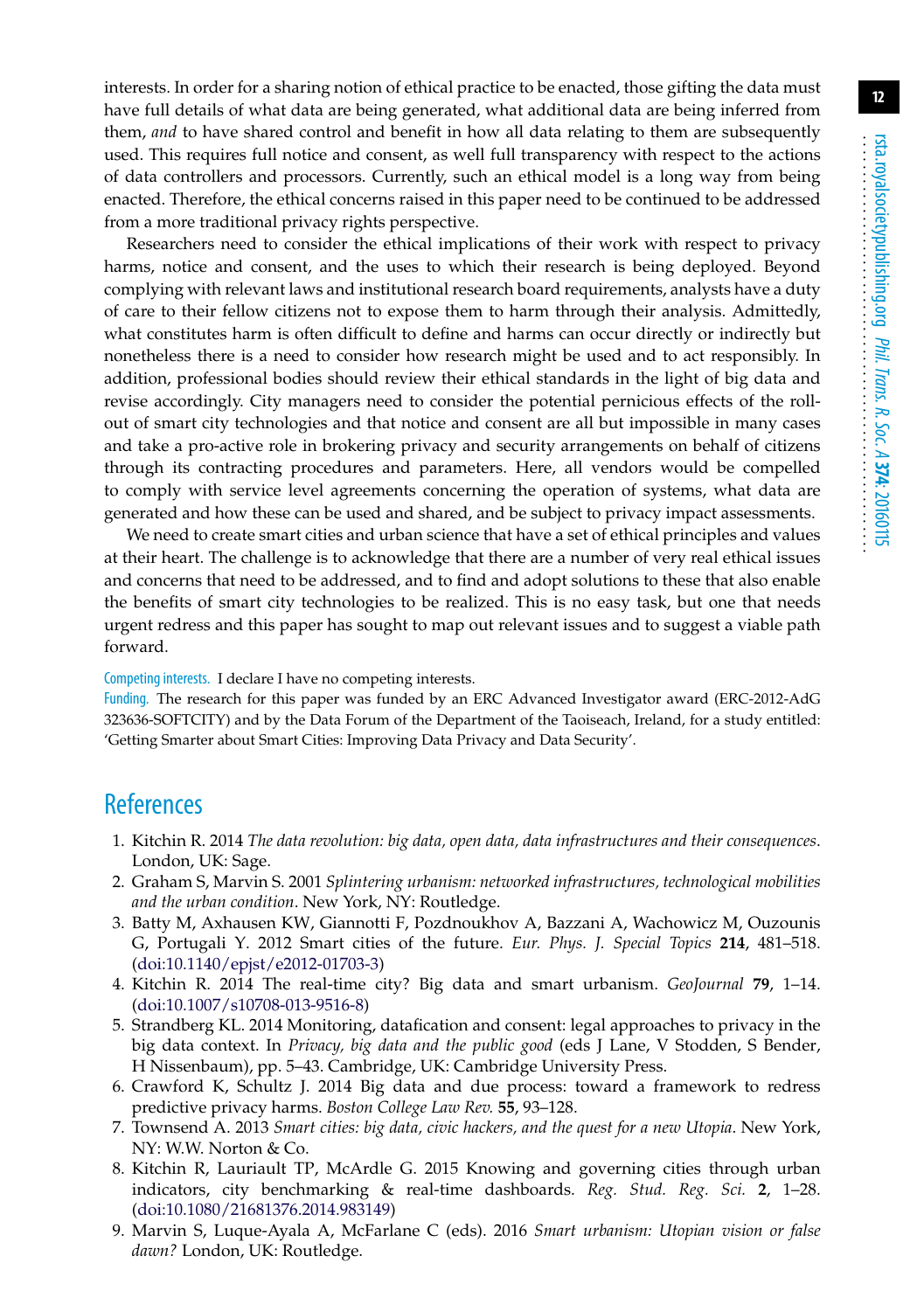interests. In order for a sharing notion of ethical practice to be enacted, those gifting the data must have full details of what data are being generated, what additional data are being inferred from them, *and* to have shared control and benefit in how all data relating to them are subsequently used. This requires full notice and consent, as well full transparency with respect to the actions of data controllers and processors. Currently, such an ethical model is a long way from being enacted. Therefore, the ethical concerns raised in this paper need to be continued to be addressed from a more traditional privacy rights perspective.

Researchers need to consider the ethical implications of their work with respect to privacy harms, notice and consent, and the uses to which their research is being deployed. Beyond complying with relevant laws and institutional research board requirements, analysts have a duty of care to their fellow citizens not to expose them to harm through their analysis. Admittedly, what constitutes harm is often difficult to define and harms can occur directly or indirectly but nonetheless there is a need to consider how research might be used and to act responsibly. In addition, professional bodies should review their ethical standards in the light of big data and revise accordingly. City managers need to consider the potential pernicious effects of the rollout of smart city technologies and that notice and consent are all but impossible in many cases and take a pro-active role in brokering privacy and security arrangements on behalf of citizens through its contracting procedures and parameters. Here, all vendors would be compelled to comply with service level agreements concerning the operation of systems, what data are generated and how these can be used and shared, and be subject to privacy impact assessments.

We need to create smart cities and urban science that have a set of ethical principles and values at their heart. The challenge is to acknowledge that there are a number of very real ethical issues and concerns that need to be addressed, and to find and adopt solutions to these that also enable the benefits of smart city technologies to be realized. This is no easy task, but one that needs urgent redress and this paper has sought to map out relevant issues and to suggest a viable path forward.

Competing interests. I declare I have no competing interests.

Funding. The research for this paper was funded by an ERC Advanced Investigator award (ERC-2012-AdG 323636-SOFTCITY) and by the Data Forum of the Department of the Taoiseach, Ireland, for a study entitled: 'Getting Smarter about Smart Cities: Improving Data Privacy and Data Security'.

## <span id="page-11-0"></span>**References**

- 1. Kitchin R. 2014 *The data revolution: big data, open data, data infrastructures and their consequences*. London, UK: Sage.
- <span id="page-11-1"></span>2. Graham S, Marvin S. 2001 *Splintering urbanism: networked infrastructures, technological mobilities and the urban condition*. New York, NY: Routledge.
- <span id="page-11-8"></span>3. Batty M, Axhausen KW, Giannotti F, Pozdnoukhov A, Bazzani A, Wachowicz M, Ouzounis G, Portugali Y. 2012 Smart cities of the future. *Eur. Phys. J. Special Topics* **214**, 481–518. [\(doi:10.1140/epjst/e2012-01703-3\)](http://dx.doi.org/10.1140/epjst/e2012-01703-3)
- <span id="page-11-2"></span>4. Kitchin R. 2014 The real-time city? Big data and smart urbanism. *GeoJournal* **79**, 1–14. [\(doi:10.1007/s10708-013-9516-8\)](http://dx.doi.org/10.1007/s10708-013-9516-8)
- <span id="page-11-3"></span>5. Strandberg KL. 2014 Monitoring, datafication and consent: legal approaches to privacy in the big data context. In *Privacy, big data and the public good* (eds J Lane, V Stodden, S Bender, H Nissenbaum), pp. 5–43. Cambridge, UK: Cambridge University Press.
- <span id="page-11-4"></span>6. Crawford K, Schultz J. 2014 Big data and due process: toward a framework to redress predictive privacy harms. *Boston College Law Rev.* **55**, 93–128.
- <span id="page-11-5"></span>7. Townsend A. 2013 *Smart cities: big data, civic hackers, and the quest for a new Utopia*. New York, NY: W.W. Norton & Co.
- <span id="page-11-7"></span>8. Kitchin R, Lauriault TP, McArdle G. 2015 Knowing and governing cities through urban indicators, city benchmarking & real-time dashboards. *Reg. Stud. Reg. Sci.* **2**, 1–28. [\(doi:10.1080/21681376.2014.983149\)](http://dx.doi.org/10.1080/21681376.2014.983149)
- <span id="page-11-6"></span>9. Marvin S, Luque-Ayala A, McFarlane C (eds). 2016 *Smart urbanism: Utopian vision or false dawn?* London, UK: Routledge.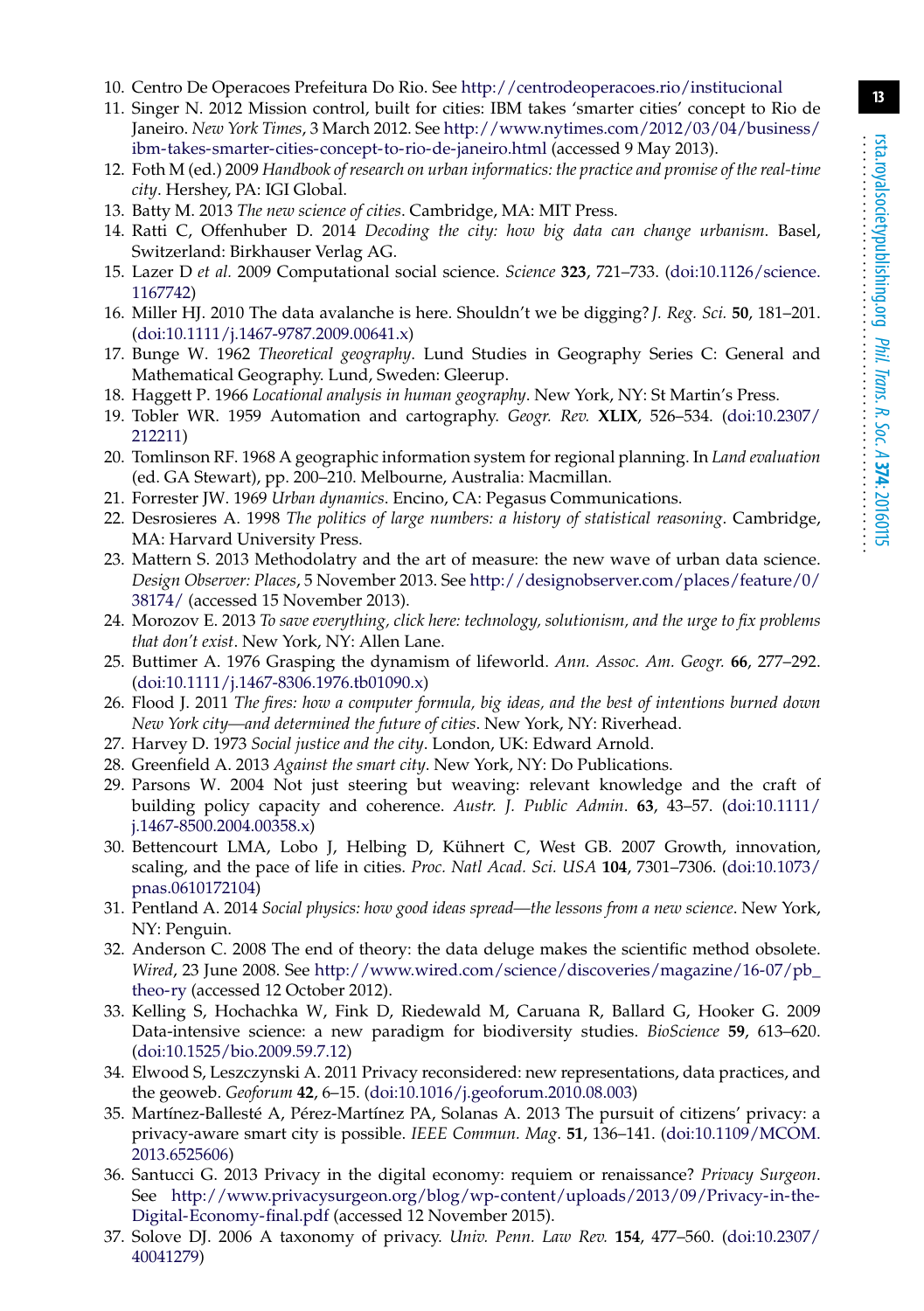- <span id="page-12-1"></span><span id="page-12-0"></span>10. Centro De Operacoes Prefeitura Do Rio. See <http://centrodeoperacoes.rio/institucional>
- 11. Singer N. 2012 Mission control, built for cities: IBM takes 'smarter cities' concept to Rio de Janeiro. *New York Times*, 3 March 2012. See [http://www.nytimes.com/2012/03/04/business/](http://www.nytimes.com/2012/03/04/business/ibm-takes-smarter-cities-concept-to-rio-de-janeiro.html) [ibm-takes-smarter-cities-concept-to-rio-de-janeiro.html](http://www.nytimes.com/2012/03/04/business/ibm-takes-smarter-cities-concept-to-rio-de-janeiro.html) (accessed 9 May 2013).
- <span id="page-12-2"></span>12. Foth M (ed.) 2009 *Handbook of research on urban informatics: the practice and promise of the real-time city*. Hershey, PA: IGI Global.
- <span id="page-12-5"></span><span id="page-12-3"></span>13. Batty M. 2013 *The new science of cities*. Cambridge, MA: MIT Press.
- 14. Ratti C, Offenhuber D. 2014 *Decoding the city: how big data can change urbanism*. Basel, Switzerland: Birkhauser Verlag AG.
- <span id="page-12-4"></span>15. Lazer D *et al.* 2009 Computational social science. *Science* **323**, 721–733. [\(doi:10.1126/science.](http://dx.doi.org/10.1126/science.1167742) [1167742\)](http://dx.doi.org/10.1126/science.1167742)
- <span id="page-12-6"></span>16. Miller HJ. 2010 The data avalanche is here. Shouldn't we be digging? *J. Reg. Sci.* **50**, 181–201. [\(doi:10.1111/j.1467-9787.2009.00641.x\)](http://dx.doi.org/10.1111/j.1467-9787.2009.00641.x)
- <span id="page-12-7"></span>17. Bunge W. 1962 *Theoretical geography*. Lund Studies in Geography Series C: General and Mathematical Geography. Lund, Sweden: Gleerup.
- <span id="page-12-9"></span><span id="page-12-8"></span>18. Haggett P. 1966 *Locational analysis in human geography*. New York, NY: St Martin's Press.
- 19. Tobler WR. 1959 Automation and cartography. *Geogr. Rev.* **XLIX**, 526–534. [\(doi:10.2307/](http://dx.doi.org/10.2307/212211) [212211\)](http://dx.doi.org/10.2307/212211)
- <span id="page-12-10"></span>20. Tomlinson RF. 1968 A geographic information system for regional planning. In *Land evaluation* (ed. GA Stewart), pp. 200–210. Melbourne, Australia: Macmillan.
- <span id="page-12-12"></span><span id="page-12-11"></span>21. Forrester JW. 1969 *Urban dynamics*. Encino, CA: Pegasus Communications.
- 22. Desrosieres A. 1998 *The politics of large numbers: a history of statistical reasoning*. Cambridge, MA: Harvard University Press.
- <span id="page-12-13"></span>23. Mattern S. 2013 Methodolatry and the art of measure: the new wave of urban data science. *Design Observer: Places*, 5 November 2013. See [http://designobserver.com/places/feature/0/](http://designobserver.com/places/feature/0/38174/) [38174/](http://designobserver.com/places/feature/0/38174/) (accessed 15 November 2013).
- <span id="page-12-14"></span>24. Morozov E. 2013 *To save everything, click here: technology, solutionism, and the urge to fix problems that don't exist*. New York, NY: Allen Lane.
- <span id="page-12-15"></span>25. Buttimer A. 1976 Grasping the dynamism of lifeworld. *Ann. Assoc. Am. Geogr.* **66**, 277–292. [\(doi:10.1111/j.1467-8306.1976.tb01090.x\)](http://dx.doi.org/10.1111/j.1467-8306.1976.tb01090.x)
- <span id="page-12-16"></span>26. Flood J. 2011 *The fires: how a computer formula, big ideas, and the best of intentions burned down New York city—and determined the future of cities*. New York, NY: Riverhead.
- <span id="page-12-18"></span><span id="page-12-17"></span>27. Harvey D. 1973 *Social justice and the city*. London, UK: Edward Arnold.
- <span id="page-12-19"></span>28. Greenfield A. 2013 *Against the smart city*. New York, NY: Do Publications.
- 29. Parsons W. 2004 Not just steering but weaving: relevant knowledge and the craft of building policy capacity and coherence. *Austr. J. Public Admin*. **63**, 43–57. [\(doi:10.1111/](http://dx.doi.org/10.1111/j.1467-8500.2004.00358.x) [j.1467-8500.2004.00358.x\)](http://dx.doi.org/10.1111/j.1467-8500.2004.00358.x)
- <span id="page-12-20"></span>30. Bettencourt LMA, Lobo J, Helbing D, Kühnert C, West GB. 2007 Growth, innovation, scaling, and the pace of life in cities. *Proc. Natl Acad. Sci. USA* **104**, 7301–7306. [\(doi:10.1073/](http://dx.doi.org/10.1073/pnas.0610172104) [pnas.0610172104\)](http://dx.doi.org/10.1073/pnas.0610172104)
- <span id="page-12-21"></span>31. Pentland A. 2014 *Social physics: how good ideas spread—the lessons from a new science*. New York, NY: Penguin.
- <span id="page-12-22"></span>32. Anderson C. 2008 The end of theory: the data deluge makes the scientific method obsolete. *Wired*, 23 June 2008. See [http://www.wired.com/science/discoveries/magazine/16-07/pb\\_](http://www.wired.com/science/discoveries/magazine/16-07/pb_theo-ry) [theo-ry](http://www.wired.com/science/discoveries/magazine/16-07/pb_theo-ry) (accessed 12 October 2012).
- <span id="page-12-23"></span>33. Kelling S, Hochachka W, Fink D, Riedewald M, Caruana R, Ballard G, Hooker G. 2009 Data-intensive science: a new paradigm for biodiversity studies. *BioScience* **59**, 613–620. [\(doi:10.1525/bio.2009.59.7.12\)](http://dx.doi.org/10.1525/bio.2009.59.7.12)
- <span id="page-12-24"></span>34. Elwood S, Leszczynski A. 2011 Privacy reconsidered: new representations, data practices, and the geoweb. *Geoforum* **42**, 6–15. [\(doi:10.1016/j.geoforum.2010.08.003\)](http://dx.doi.org/10.1016/j.geoforum.2010.08.003)
- <span id="page-12-25"></span>35. Martínez-Ballesté A, Pérez-Martínez PA, Solanas A. 2013 The pursuit of citizens' privacy: a privacy-aware smart city is possible. *IEEE Commun. Mag*. **51**, 136–141. [\(doi:10.1109/MCOM.](http://dx.doi.org/10.1109/MCOM.2013.6525606) [2013.6525606\)](http://dx.doi.org/10.1109/MCOM.2013.6525606)
- <span id="page-12-26"></span>36. Santucci G. 2013 Privacy in the digital economy: requiem or renaissance? *Privacy Surgeon*. See [http://www.privacysurgeon.org/blog/wp-content/uploads/2013/09/Privacy-in-the-](http://www.privacysurgeon.org/blog/wp-content/uploads/2013/09/Privacy-in-the-Digital-Economy-final.pdf)[Digital-Economy-final.pdf](http://www.privacysurgeon.org/blog/wp-content/uploads/2013/09/Privacy-in-the-Digital-Economy-final.pdf) (accessed 12 November 2015).
- <span id="page-12-27"></span>37. Solove DJ. 2006 A taxonomy of privacy. *Univ. Penn. Law Rev.* **154**, 477–560. [\(doi:10.2307/](http://dx.doi.org/10.2307/40041279) [40041279\)](http://dx.doi.org/10.2307/40041279)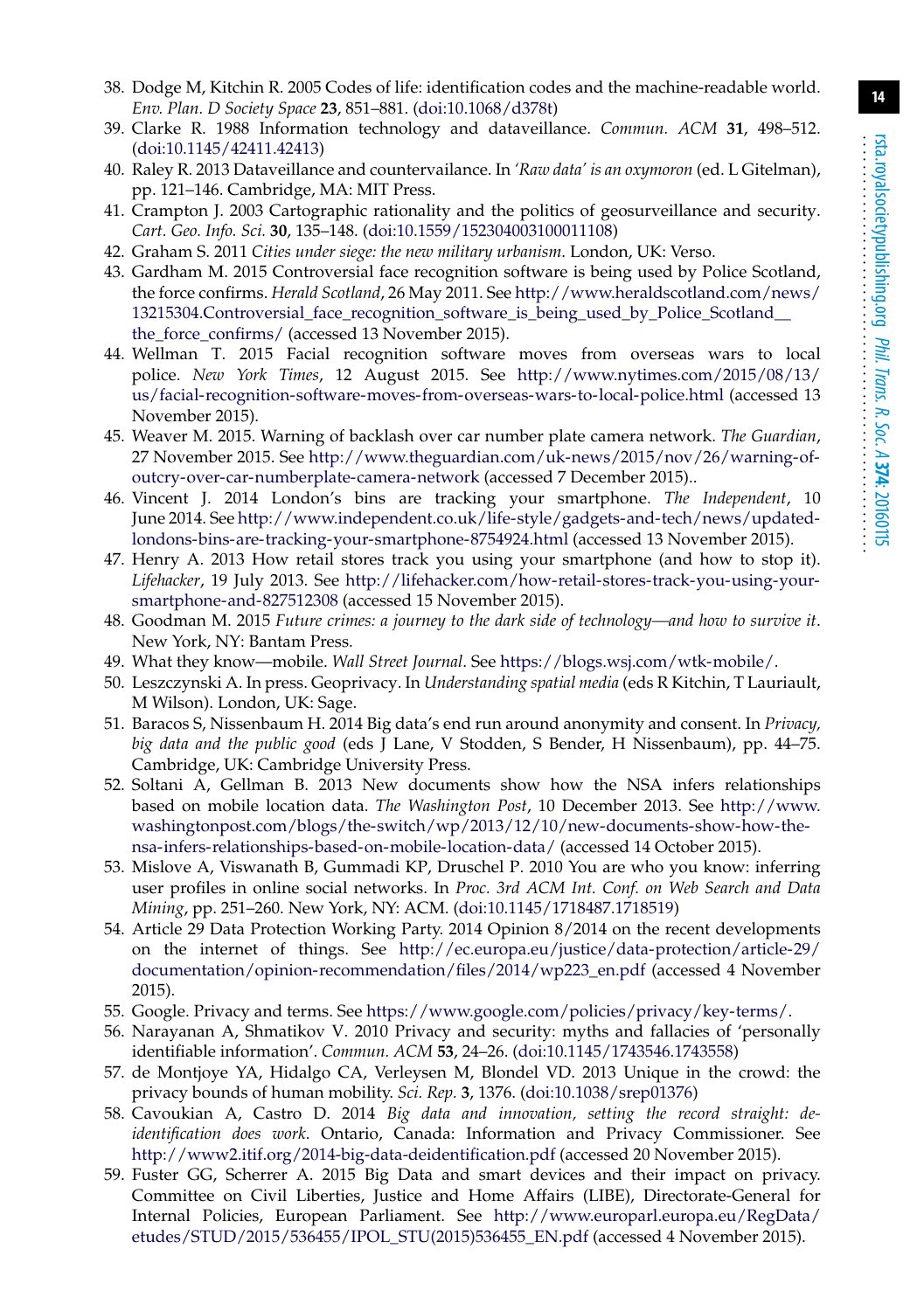- <span id="page-13-0"></span>38. Dodge M, Kitchin R. 2005 Codes of life: identification codes and the machine-readable world. *Env. Plan. D Society Space* **23**, 851–881. [\(doi:10.1068/d378t\)](http://dx.doi.org/10.1068/d378t)
- <span id="page-13-1"></span>39. Clarke R. 1988 Information technology and dataveillance. *Commun. ACM* **31**, 498–512. [\(doi:10.1145/42411.42413\)](http://dx.doi.org/10.1145/42411.42413)
- <span id="page-13-2"></span>40. Raley R. 2013 Dataveillance and countervailance. In *'Raw data' is an oxymoron* (ed. L Gitelman), pp. 121–146. Cambridge, MA: MIT Press.
- <span id="page-13-3"></span>41. Crampton J. 2003 Cartographic rationality and the politics of geosurveillance and security. *Cart. Geo. Info. Sci.* **30**, 135–148. [\(doi:10.1559/152304003100011108\)](http://dx.doi.org/10.1559/152304003100011108)
- <span id="page-13-5"></span><span id="page-13-4"></span>42. Graham S. 2011 *Cities under siege: the new military urbanism*. London, UK: Verso.
- 43. Gardham M. 2015 Controversial face recognition software is being used by Police Scotland, the force confirms. *Herald Scotland*, 26 May 2011. See [http://www.heraldscotland.com/news/](http://www.heraldscotland.com/news/13215304.Controversial_face_recognition_software_is_being_used_by_Police_Scotland__the_force_confirms/) [13215304.Controversial\\_face\\_recognition\\_software\\_is\\_being\\_used\\_by\\_Police\\_Scotland\\_\\_](http://www.heraldscotland.com/news/13215304.Controversial_face_recognition_software_is_being_used_by_Police_Scotland__the_force_confirms/) the force confirms/ (accessed 13 November 2015).
- <span id="page-13-6"></span>44. Wellman T. 2015 Facial recognition software moves from overseas wars to local police. *New York Times*, 12 August 2015. See [http://www.nytimes.com/2015/08/13/](http://www.nytimes.com/2015/08/13/us/facial-recognition-software-moves-from-overseas-wars-to-local-police.html) [us/facial-recognition-software-moves-from-overseas-wars-to-local-police.html](http://www.nytimes.com/2015/08/13/us/facial-recognition-software-moves-from-overseas-wars-to-local-police.html) (accessed 13 November 2015).
- <span id="page-13-7"></span>45. Weaver M. 2015. Warning of backlash over car number plate camera network. *The Guardian*, 27 November 2015. See [http://www.theguardian.com/uk-news/2015/nov/26/warning-of](http://www.theguardian.com/uk-news/2015/nov/26/warning-of-outcry-over-car-numberplate-camera-network)[outcry-over-car-numberplate-camera-network](http://www.theguardian.com/uk-news/2015/nov/26/warning-of-outcry-over-car-numberplate-camera-network) (accessed 7 December 2015)..
- <span id="page-13-8"></span>46. Vincent J. 2014 London's bins are tracking your smartphone. *The Independent*, 10 June 2014. See [http://www.independent.co.uk/life-style/gadgets-and-tech/news/updated](http://www.independent.co.uk/life-style/gadgets-and-tech/news/updated-londons-bins-are-tracking-your-smartphone-8754924.html)[londons-bins-are-tracking-your-smartphone-8754924.html](http://www.independent.co.uk/life-style/gadgets-and-tech/news/updated-londons-bins-are-tracking-your-smartphone-8754924.html) (accessed 13 November 2015).
- <span id="page-13-9"></span>47. Henry A. 2013 How retail stores track you using your smartphone (and how to stop it). *Lifehacker*, 19 July 2013. See [http://lifehacker.com/how-retail-stores-track-you-using-your](http://lifehacker.com/how-retail-stores-track-you-using-your-smartphone-and-827512308)[smartphone-and-827512308](http://lifehacker.com/how-retail-stores-track-you-using-your-smartphone-and-827512308) (accessed 15 November 2015).
- <span id="page-13-10"></span>48. Goodman M. 2015 *Future crimes: a journey to the dark side of technology—and how to survive it*. New York, NY: Bantam Press.
- <span id="page-13-12"></span><span id="page-13-11"></span>49. What they know—mobile. *Wall Street Journal*. See [https://blogs.wsj.com/wtk-mobile/.](https://blogs.wsj.com/wtk-mobile/)
- 50. Leszczynski A. In press. Geoprivacy. In *Understanding spatial media* (eds R Kitchin, T Lauriault, M Wilson). London, UK: Sage.
- <span id="page-13-13"></span>51. Baracos S, Nissenbaum H. 2014 Big data's end run around anonymity and consent. In *Privacy, big data and the public good* (eds J Lane, V Stodden, S Bender, H Nissenbaum), pp. 44–75. Cambridge, UK: Cambridge University Press.
- <span id="page-13-14"></span>52. Soltani A, Gellman B. 2013 New documents show how the NSA infers relationships based on mobile location data. *The Washington Post*, 10 December 2013. See [http://www.](http://www.washingtonpost.com/blogs/the-switch/wp/2013/12/10/new-documents-show-how-the-nsa-infers-relationships-based-on-mobile-location-data/) [washingtonpost.com/blogs/the-switch/wp/2013/12/10/new-documents-show-how-the](http://www.washingtonpost.com/blogs/the-switch/wp/2013/12/10/new-documents-show-how-the-nsa-infers-relationships-based-on-mobile-location-data/)[nsa-infers-relationships-based-on-mobile-location-data/](http://www.washingtonpost.com/blogs/the-switch/wp/2013/12/10/new-documents-show-how-the-nsa-infers-relationships-based-on-mobile-location-data/) (accessed 14 October 2015).
- <span id="page-13-15"></span>53. Mislove A, Viswanath B, Gummadi KP, Druschel P. 2010 You are who you know: inferring user profiles in online social networks. In *Proc. 3rd ACM Int. Conf. on Web Search and Data Mining*, pp. 251–260. New York, NY: ACM. [\(doi:10.1145/1718487.1718519\)](http://dx.doi.org/10.1145/1718487.1718519)
- <span id="page-13-16"></span>54. Article 29 Data Protection Working Party. 2014 Opinion 8/2014 on the recent developments on the internet of things. See [http://ec.europa.eu/justice/data-protection/article-29/](http://ec.europa.eu/justice/data-protection/article-29/documentation/opinion-recommendation/files/2014/wp223_en.pdf) [documentation/opinion-recommendation/files/2014/wp223\\_en.pdf](http://ec.europa.eu/justice/data-protection/article-29/documentation/opinion-recommendation/files/2014/wp223_en.pdf) (accessed 4 November 2015).
- <span id="page-13-18"></span><span id="page-13-17"></span>55. Google. Privacy and terms. See [https://www.google.com/policies/privacy/key-terms/.](https://www.google.com/policies/privacy/key-terms/)
- 56. Narayanan A, Shmatikov V. 2010 Privacy and security: myths and fallacies of 'personally identifiable information'. *Commun. ACM* **53**, 24–26. [\(doi:10.1145/1743546.1743558\)](http://dx.doi.org/10.1145/1743546.1743558)
- <span id="page-13-19"></span>57. de Montjoye YA, Hidalgo CA, Verleysen M, Blondel VD. 2013 Unique in the crowd: the privacy bounds of human mobility. *Sci. Rep.* **3**, 1376. [\(doi:10.1038/srep01376\)](http://dx.doi.org/10.1038/srep01376)
- 58. Cavoukian A, Castro D. 2014 *Big data and innovation, setting the record straight: deidentification does work*. Ontario, Canada: Information and Privacy Commissioner. See <http://www2.itif.org/2014-big-data-deidentification.pdf> (accessed 20 November 2015).
- <span id="page-13-20"></span>59. Fuster GG, Scherrer A. 2015 Big Data and smart devices and their impact on privacy. Committee on Civil Liberties, Justice and Home Affairs (LIBE), Directorate-General for Internal Policies, European Parliament. See [http://www.europarl.europa.eu/RegData/](http://www.europarl.europa.eu/RegData/etudes/STUD/2015/536455/IPOL_STU(2015)536455_EN.pdf) [etudes/STUD/2015/536455/IPOL\\_STU\(2015\)536455\\_EN.pdf](http://www.europarl.europa.eu/RegData/etudes/STUD/2015/536455/IPOL_STU(2015)536455_EN.pdf) (accessed 4 November 2015).